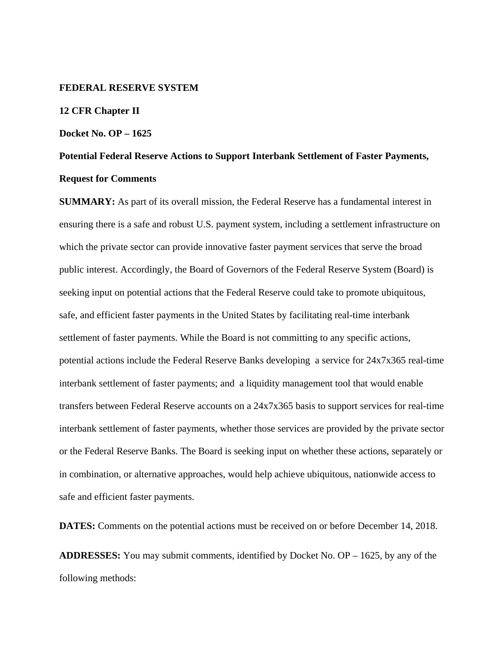#### **FEDERAL RESERVE SYSTEM**

#### **12 CFR Chapter II**

#### **Docket No. OP – 1625**

# **Potential Federal Reserve Actions to Support Interbank Settlement of Faster Payments, Request for Comments**

**SUMMARY:** As part of its overall mission, the Federal Reserve has a fundamental interest in ensuring there is a safe and robust U.S. payment system, including a settlement infrastructure on which the private sector can provide innovative faster payment services that serve the broad public interest. Accordingly, the Board of Governors of the Federal Reserve System (Board) is seeking input on potential actions that the Federal Reserve could take to promote ubiquitous, safe, and efficient faster payments in the United States by facilitating real-time interbank settlement of faster payments. While the Board is not committing to any specific actions, potential actions include the Federal Reserve Banks developing a service for 24x7x365 real-time interbank settlement of faster payments; and a liquidity management tool that would enable transfers between Federal Reserve accounts on a 24x7x365 basis to support services for real-time interbank settlement of faster payments, whether those services are provided by the private sector or the Federal Reserve Banks. The Board is seeking input on whether these actions, separately or in combination, or alternative approaches, would help achieve ubiquitous, nationwide access to safe and efficient faster payments.

**DATES:** Comments on the potential actions must be received on or before December 14, 2018.

**ADDRESSES:** You may submit comments, identified by Docket No. OP – 1625, by any of the following methods: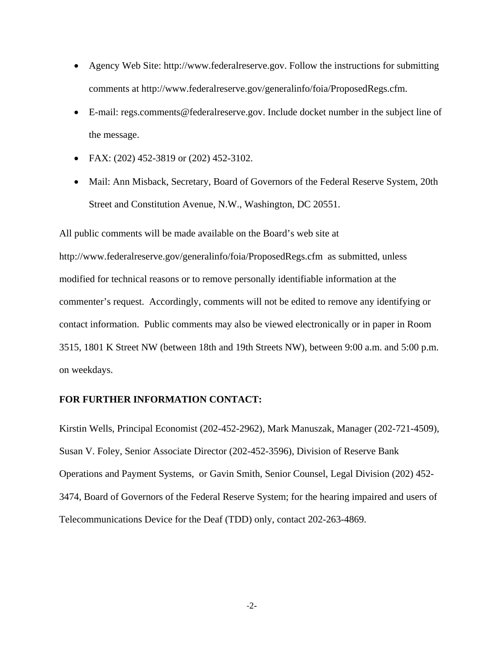- Agency Web Site: http://www.federalreserve.gov. Follow the instructions for submitting comments at http://www.federalreserve.gov/generalinfo/foia/ProposedRegs.cfm.
- E-mail: regs.comments@federalreserve.gov. Include docket number in the subject line of the message.
- FAX: (202) 452-3819 or (202) 452-3102.
- Mail: Ann Misback, Secretary, Board of Governors of the Federal Reserve System, 20th Street and Constitution Avenue, N.W., Washington, DC 20551.

All public comments will be made available on the Board's web site at http://www.federalreserve.gov/generalinfo/foia/ProposedRegs.cfm as submitted, unless modified for technical reasons or to remove personally identifiable information at the commenter's request. Accordingly, comments will not be edited to remove any identifying or contact information. Public comments may also be viewed electronically or in paper in Room 3515, 1801 K Street NW (between 18th and 19th Streets NW), between 9:00 a.m. and 5:00 p.m. on weekdays.

#### **FOR FURTHER INFORMATION CONTACT:**

Kirstin Wells, Principal Economist (202-452-2962), Mark Manuszak, Manager (202-721-4509), Susan V. Foley, Senior Associate Director (202-452-3596), Division of Reserve Bank Operations and Payment Systems, or Gavin Smith, Senior Counsel, Legal Division (202) 452- 3474, Board of Governors of the Federal Reserve System; for the hearing impaired and users of Telecommunications Device for the Deaf (TDD) only, contact 202-263-4869.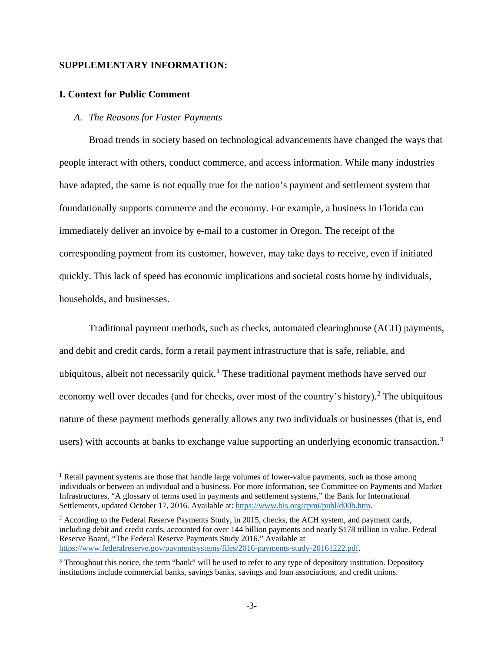# **SUPPLEMENTARY INFORMATION:**

#### **I. Context for Public Comment**

### *A. The Reasons for Faster Payments*

Broad trends in society based on technological advancements have changed the ways that people interact with others, conduct commerce, and access information. While many industries have adapted, the same is not equally true for the nation's payment and settlement system that foundationally supports commerce and the economy. For example, a business in Florida can immediately deliver an invoice by e-mail to a customer in Oregon. The receipt of the corresponding payment from its customer, however, may take days to receive, even if initiated quickly. This lack of speed has economic implications and societal costs borne by individuals, households, and businesses.

Traditional payment methods, such as checks, automated clearinghouse (ACH) payments, and debit and credit cards, form a retail payment infrastructure that is safe, reliable, and ubiquitous, albeit not necessarily quick.<sup>[1](#page-2-0)</sup> These traditional payment methods have served our economy well over decades (and for checks, over most of the country's history).<sup>[2](#page-2-1)</sup> The ubiquitous nature of these payment methods generally allows any two individuals or businesses (that is, end users) with accounts at banks to exchange value supporting an underlying economic transaction.<sup>[3](#page-2-2)</sup>

<span id="page-2-0"></span><sup>&</sup>lt;sup>1</sup> Retail payment systems are those that handle large volumes of lower-value payments, such as those among individuals or between an individual and a business. For more information, see Committee on Payments and Market Infrastructures, "A glossary of terms used in payments and settlement systems," the Bank for International Settlements, updated October 17, 2016. Available at: [https://www.bis.org/cpmi/publ/d00b.htm.](https://www.bis.org/cpmi/publ/d00b.htm)

<span id="page-2-1"></span> $2$  According to the Federal Reserve Payments Study, in 2015, checks, the ACH system, and payment cards, including debit and credit cards, accounted for over 144 billion payments and nearly \$178 trillion in value. Federal Reserve Board, "The Federal Reserve Payments Study 2016." Available at [https://www.federalreserve.gov/paymentsystems/files/2016-payments-study-20161222.pdf.](https://www.federalreserve.gov/paymentsystems/files/2016-payments-study-20161222.pdf)

<span id="page-2-2"></span><sup>&</sup>lt;sup>3</sup> Throughout this notice, the term "bank" will be used to refer to any type of depository institution. Depository institutions include commercial banks, savings banks, savings and loan associations, and credit unions.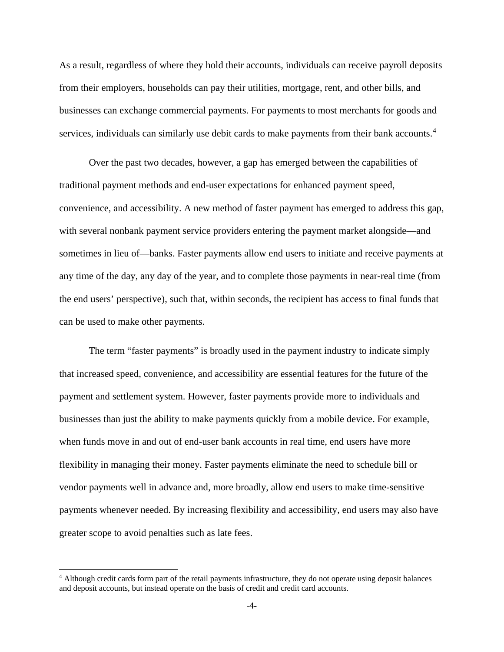As a result, regardless of where they hold their accounts, individuals can receive payroll deposits from their employers, households can pay their utilities, mortgage, rent, and other bills, and businesses can exchange commercial payments. For payments to most merchants for goods and services, individuals can similarly use debit cards to make payments from their bank accounts.<sup>[4](#page-3-0)</sup>

Over the past two decades, however, a gap has emerged between the capabilities of traditional payment methods and end-user expectations for enhanced payment speed, convenience, and accessibility. A new method of faster payment has emerged to address this gap, with several nonbank payment service providers entering the payment market alongside—and sometimes in lieu of—banks. Faster payments allow end users to initiate and receive payments at any time of the day, any day of the year, and to complete those payments in near-real time (from the end users' perspective), such that, within seconds, the recipient has access to final funds that can be used to make other payments.

The term "faster payments" is broadly used in the payment industry to indicate simply that increased speed, convenience, and accessibility are essential features for the future of the payment and settlement system. However, faster payments provide more to individuals and businesses than just the ability to make payments quickly from a mobile device. For example, when funds move in and out of end-user bank accounts in real time, end users have more flexibility in managing their money. Faster payments eliminate the need to schedule bill or vendor payments well in advance and, more broadly, allow end users to make time-sensitive payments whenever needed. By increasing flexibility and accessibility, end users may also have greater scope to avoid penalties such as late fees.

<span id="page-3-0"></span> <sup>4</sup> Although credit cards form part of the retail payments infrastructure, they do not operate using deposit balances and deposit accounts, but instead operate on the basis of credit and credit card accounts.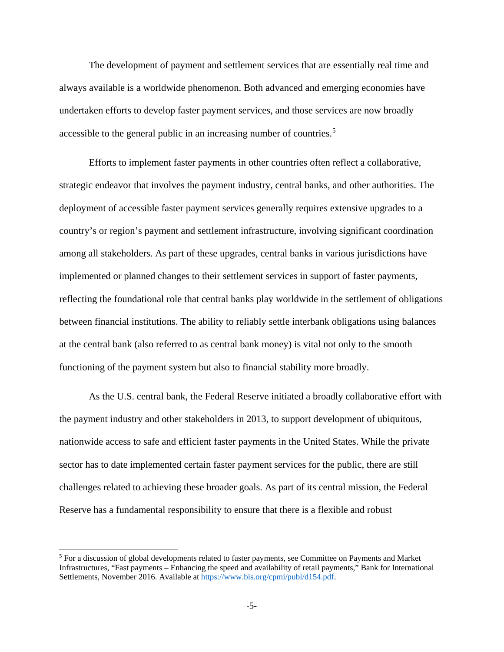The development of payment and settlement services that are essentially real time and always available is a worldwide phenomenon. Both advanced and emerging economies have undertaken efforts to develop faster payment services, and those services are now broadly accessible to the general public in an increasing number of countries.[5](#page-4-0)

Efforts to implement faster payments in other countries often reflect a collaborative, strategic endeavor that involves the payment industry, central banks, and other authorities. The deployment of accessible faster payment services generally requires extensive upgrades to a country's or region's payment and settlement infrastructure, involving significant coordination among all stakeholders. As part of these upgrades, central banks in various jurisdictions have implemented or planned changes to their settlement services in support of faster payments, reflecting the foundational role that central banks play worldwide in the settlement of obligations between financial institutions. The ability to reliably settle interbank obligations using balances at the central bank (also referred to as central bank money) is vital not only to the smooth functioning of the payment system but also to financial stability more broadly.

As the U.S. central bank, the Federal Reserve initiated a broadly collaborative effort with the payment industry and other stakeholders in 2013, to support development of ubiquitous, nationwide access to safe and efficient faster payments in the United States. While the private sector has to date implemented certain faster payment services for the public, there are still challenges related to achieving these broader goals. As part of its central mission, the Federal Reserve has a fundamental responsibility to ensure that there is a flexible and robust

<span id="page-4-0"></span> <sup>5</sup> For a discussion of global developments related to faster payments, see Committee on Payments and Market Infrastructures, "Fast payments – Enhancing the speed and availability of retail payments," Bank for International Settlements, November 2016. Available a[t https://www.bis.org/cpmi/publ/d154.pdf.](https://www.bis.org/cpmi/publ/d154.pdf)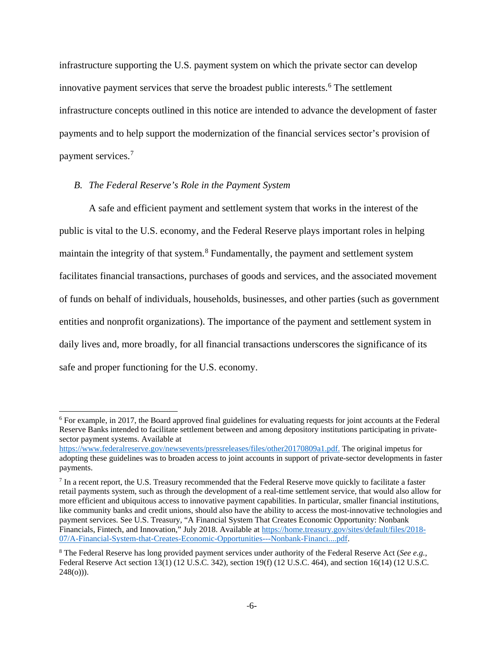infrastructure supporting the U.S. payment system on which the private sector can develop innovative payment services that serve the broadest public interests. [6](#page-5-0) The settlement infrastructure concepts outlined in this notice are intended to advance the development of faster payments and to help support the modernization of the financial services sector's provision of payment services. [7](#page-5-1)

#### *B. The Federal Reserve's Role in the Payment System*

A safe and efficient payment and settlement system that works in the interest of the public is vital to the U.S. economy, and the Federal Reserve plays important roles in helping maintain the integrity of that system.<sup>[8](#page-5-2)</sup> Fundamentally, the payment and settlement system facilitates financial transactions, purchases of goods and services, and the associated movement of funds on behalf of individuals, households, businesses, and other parties (such as government entities and nonprofit organizations). The importance of the payment and settlement system in daily lives and, more broadly, for all financial transactions underscores the significance of its safe and proper functioning for the U.S. economy.

<span id="page-5-0"></span> <sup>6</sup> For example, in 2017, the Board approved final guidelines for evaluating requests for joint accounts at the Federal Reserve Banks intended to facilitate settlement between and among depository institutions participating in privatesector payment systems. Available at

[https://www.federalreserve.gov/newsevents/pressreleases/files/other20170809a1.pdf.](https://www.federalreserve.gov/newsevents/pressreleases/files/other20170809a1.pdf) The original impetus for adopting these guidelines was to broaden access to joint accounts in support of private-sector developments in faster payments.

<span id="page-5-1"></span> $<sup>7</sup>$  In a recent report, the U.S. Treasury recommended that the Federal Reserve move quickly to facilitate a faster</sup> retail payments system, such as through the development of a real-time settlement service, that would also allow for more efficient and ubiquitous access to innovative payment capabilities. In particular, smaller financial institutions, like community banks and credit unions, should also have the ability to access the most-innovative technologies and payment services. See U.S. Treasury, "A Financial System That Creates Economic Opportunity: Nonbank Financials, Fintech, and Innovation," July 2018. Available at [https://home.treasury.gov/sites/default/files/2018-](https://home.treasury.gov/sites/default/files/2018-07/A-Financial-System-that-Creates-Economic-Opportunities---Nonbank-Financi....pdf) [07/A-Financial-System-that-Creates-Economic-Opportunities---Nonbank-Financi....pdf.](https://home.treasury.gov/sites/default/files/2018-07/A-Financial-System-that-Creates-Economic-Opportunities---Nonbank-Financi....pdf)

<span id="page-5-2"></span><sup>8</sup> The Federal Reserve has long provided payment services under authority of the Federal Reserve Act (*See e.g.*, Federal Reserve Act section 13(1) (12 U.S.C. 342), section 19(f) (12 U.S.C. 464), and section 16(14) (12 U.S.C.  $248(0)$ ).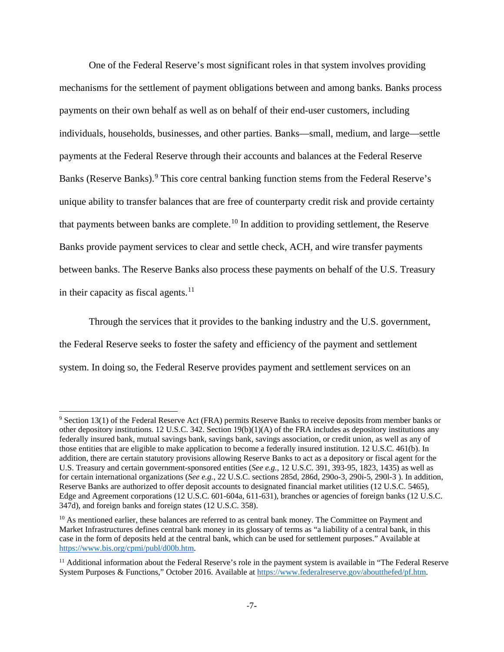One of the Federal Reserve's most significant roles in that system involves providing mechanisms for the settlement of payment obligations between and among banks. Banks process payments on their own behalf as well as on behalf of their end-user customers, including individuals, households, businesses, and other parties. Banks—small, medium, and large—settle payments at the Federal Reserve through their accounts and balances at the Federal Reserve Banks (Reserve Banks).<sup>[9](#page-6-0)</sup> This core central banking function stems from the Federal Reserve's unique ability to transfer balances that are free of counterparty credit risk and provide certainty that payments between banks are complete.<sup>[10](#page-6-1)</sup> In addition to providing settlement, the Reserve Banks provide payment services to clear and settle check, ACH, and wire transfer payments between banks. The Reserve Banks also process these payments on behalf of the U.S. Treasury in their capacity as fiscal agents. $11$ 

Through the services that it provides to the banking industry and the U.S. government, the Federal Reserve seeks to foster the safety and efficiency of the payment and settlement system. In doing so, the Federal Reserve provides payment and settlement services on an

<span id="page-6-0"></span> <sup>9</sup> Section 13(1) of the Federal Reserve Act (FRA) permits Reserve Banks to receive deposits from member banks or other depository institutions. 12 U.S.C. 342. Section 19(b)(1)(A) of the FRA includes as depository institutions any federally insured bank, mutual savings bank, savings bank, savings association, or credit union, as well as any of those entities that are eligible to make application to become a federally insured institution. 12 U.S.C. 461(b). In addition, there are certain statutory provisions allowing Reserve Banks to act as a depository or fiscal agent for the U.S. Treasury and certain government-sponsored entities (*See e.g.*, 12 U.S.C. 391, 393-95, 1823, 1435) as well as for certain international organizations (*See e.g.*, 22 U.S.C. sections 285d, 286d, 290o-3, 290i-5, 290l-3 ). In addition, Reserve Banks are authorized to offer deposit accounts to designated financial market utilities (12 U.S.C. 5465), Edge and Agreement corporations (12 U.S.C. 601-604a, 611-631), branches or agencies of foreign banks (12 U.S.C. 347d), and foreign banks and foreign states (12 U.S.C. 358).

<span id="page-6-1"></span><sup>&</sup>lt;sup>10</sup> As mentioned earlier, these balances are referred to as central bank money. The Committee on Payment and Market Infrastructures defines central bank money in its glossary of terms as "a liability of a central bank, in this case in the form of deposits held at the central bank, which can be used for settlement purposes." Available at [https://www.bis.org/cpmi/publ/d00b.htm.](https://www.bis.org/cpmi/publ/d00b.htm)

<span id="page-6-2"></span><sup>&</sup>lt;sup>11</sup> Additional information about the Federal Reserve's role in the payment system is available in "The Federal Reserve System Purposes & Functions," October 2016. Available a[t https://www.federalreserve.gov/aboutthefed/pf.htm.](https://www.federalreserve.gov/aboutthefed/pf.htm)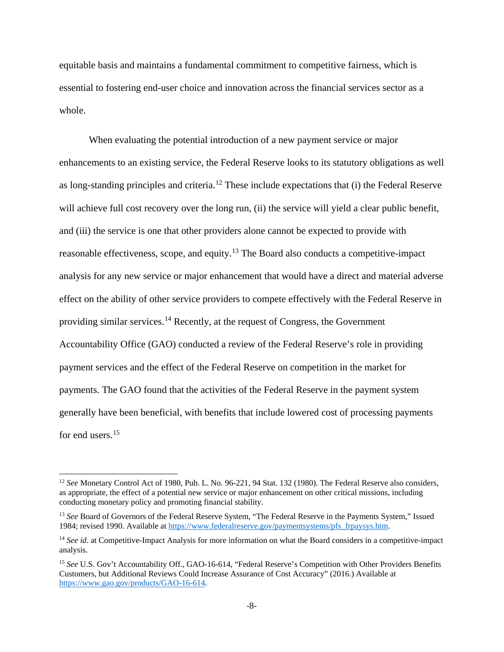equitable basis and maintains a fundamental commitment to competitive fairness, which is essential to fostering end-user choice and innovation across the financial services sector as a whole.

When evaluating the potential introduction of a new payment service or major enhancements to an existing service, the Federal Reserve looks to its statutory obligations as well as long-standing principles and criteria.[12](#page-7-0) These include expectations that (i) the Federal Reserve will achieve full cost recovery over the long run, (ii) the service will yield a clear public benefit, and (iii) the service is one that other providers alone cannot be expected to provide with reasonable effectiveness, scope, and equity.<sup>[13](#page-7-1)</sup> The Board also conducts a competitive-impact analysis for any new service or major enhancement that would have a direct and material adverse effect on the ability of other service providers to compete effectively with the Federal Reserve in providing similar services.[14](#page-7-2) Recently, at the request of Congress, the Government Accountability Office (GAO) conducted a review of the Federal Reserve's role in providing payment services and the effect of the Federal Reserve on competition in the market for payments. The GAO found that the activities of the Federal Reserve in the payment system generally have been beneficial, with benefits that include lowered cost of processing payments for end users.<sup>15</sup>

<span id="page-7-0"></span> <sup>12</sup> *See* Monetary Control Act of 1980, Pub. L. No. 96-221, 94 Stat. 132 (1980). The Federal Reserve also considers, as appropriate, the effect of a potential new service or major enhancement on other critical missions, including conducting monetary policy and promoting financial stability.

<span id="page-7-1"></span><sup>&</sup>lt;sup>13</sup> See Board of Governors of the Federal Reserve System, "The Federal Reserve in the Payments System," Issued 1984; revised 1990. Available a[t https://www.federalreserve.gov/paymentsystems/pfs\\_frpaysys.htm.](https://www.federalreserve.gov/paymentsystems/pfs_frpaysys.htm)

<span id="page-7-2"></span><sup>&</sup>lt;sup>14</sup> See id. at Competitive-Impact Analysis for more information on what the Board considers in a competitive-impact analysis.

<span id="page-7-3"></span><sup>&</sup>lt;sup>15</sup> See U.S. Gov't Accountability Off., GAO-16-614, "Federal Reserve's Competition with Other Providers Benefits Customers, but Additional Reviews Could Increase Assurance of Cost Accuracy" (2016.) Available at [https://www.gao.gov/products/GAO-16-614.](https://www.gao.gov/products/GAO-16-614)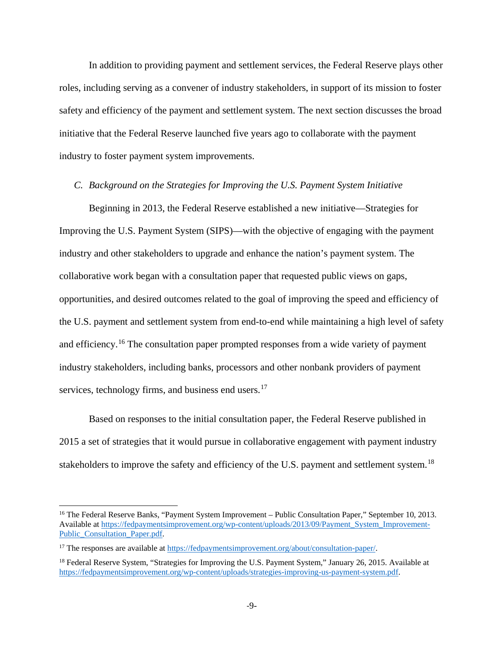In addition to providing payment and settlement services, the Federal Reserve plays other roles, including serving as a convener of industry stakeholders, in support of its mission to foster safety and efficiency of the payment and settlement system. The next section discusses the broad initiative that the Federal Reserve launched five years ago to collaborate with the payment industry to foster payment system improvements.

## *C. Background on the Strategies for Improving the U.S. Payment System Initiative*

Beginning in 2013, the Federal Reserve established a new initiative—Strategies for Improving the U.S. Payment System (SIPS)—with the objective of engaging with the payment industry and other stakeholders to upgrade and enhance the nation's payment system. The collaborative work began with a consultation paper that requested public views on gaps, opportunities, and desired outcomes related to the goal of improving the speed and efficiency of the U.S. payment and settlement system from end-to-end while maintaining a high level of safety and efficiency.<sup>[16](#page-8-0)</sup> The consultation paper prompted responses from a wide variety of payment industry stakeholders, including banks, processors and other nonbank providers of payment services, technology firms, and business end users.<sup>[17](#page-8-1)</sup>

Based on responses to the initial consultation paper, the Federal Reserve published in 2015 a set of strategies that it would pursue in collaborative engagement with payment industry stakeholders to improve the safety and efficiency of the U.S. payment and settlement system.<sup>[18](#page-8-2)</sup>

<span id="page-8-0"></span> <sup>16</sup> The Federal Reserve Banks, "Payment System Improvement – Public Consultation Paper," September 10, 2013. Available at [https://fedpaymentsimprovement.org/wp-content/uploads/2013/09/Payment\\_System\\_Improvement-](https://fedpaymentsimprovement.org/wp-content/uploads/2013/09/Payment_System_Improvement-Public_Consultation_Paper.pdf)[Public\\_Consultation\\_Paper.pdf.](https://fedpaymentsimprovement.org/wp-content/uploads/2013/09/Payment_System_Improvement-Public_Consultation_Paper.pdf)

<span id="page-8-1"></span><sup>&</sup>lt;sup>17</sup> The responses are available at https://fedpaymentsimprovement.org/about/consultation-paper/.

<span id="page-8-2"></span><sup>&</sup>lt;sup>18</sup> Federal Reserve System, "Strategies for Improving the U.S. Payment System," January 26, 2015. Available at [https://fedpaymentsimprovement.org/wp-content/uploads/strategies-improving-us-payment-system.pdf.](https://fedpaymentsimprovement.org/wp-content/uploads/strategies-improving-us-payment-system.pdf)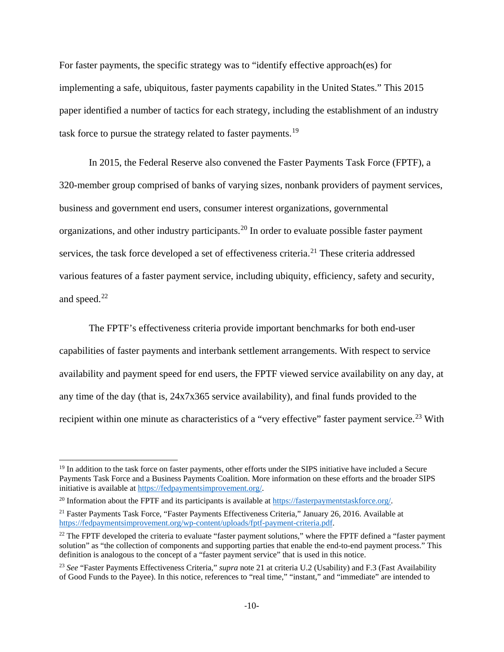For faster payments, the specific strategy was to "identify effective approach(es) for implementing a safe, ubiquitous, faster payments capability in the United States." This 2015 paper identified a number of tactics for each strategy, including the establishment of an industry task force to pursue the strategy related to faster payments.<sup>[19](#page-9-0)</sup>

In 2015, the Federal Reserve also convened the Faster Payments Task Force (FPTF), a 320-member group comprised of banks of varying sizes, nonbank providers of payment services, business and government end users, consumer interest organizations, governmental organizations, and other industry participants.<sup>[20](#page-9-1)</sup> In order to evaluate possible faster payment services, the task force developed a set of effectiveness criteria.<sup>[21](#page-9-2)</sup> These criteria addressed various features of a faster payment service, including ubiquity, efficiency, safety and security, and speed.<sup>[22](#page-9-3)</sup>

The FPTF's effectiveness criteria provide important benchmarks for both end-user capabilities of faster payments and interbank settlement arrangements. With respect to service availability and payment speed for end users, the FPTF viewed service availability on any day, at any time of the day (that is, 24x7x365 service availability), and final funds provided to the recipient within one minute as characteristics of a "very effective" faster payment service.<sup>[23](#page-9-4)</sup> With

<span id="page-9-0"></span> $19$  In addition to the task force on faster payments, other efforts under the SIPS initiative have included a Secure Payments Task Force and a Business Payments Coalition. More information on these efforts and the broader SIPS initiative is available a[t https://fedpaymentsimprovement.org/.](https://fedpaymentsimprovement.org/)

<span id="page-9-1"></span><sup>&</sup>lt;sup>20</sup> Information about the FPTF and its participants is available at [https://fasterpaymentstaskforce.org/.](https://fasterpaymentstaskforce.org/)

<span id="page-9-2"></span><sup>21</sup> Faster Payments Task Force, "Faster Payments Effectiveness Criteria," January 26, 2016. Available at [https://fedpaymentsimprovement.org/wp-content/uploads/fptf-payment-criteria.pdf.](https://fedpaymentsimprovement.org/wp-content/uploads/fptf-payment-criteria.pdf)

<span id="page-9-3"></span> $22$  The FPTF developed the criteria to evaluate "faster payment solutions," where the FPTF defined a "faster payment" solution" as "the collection of components and supporting parties that enable the end-to-end payment process." This definition is analogous to the concept of a "faster payment service" that is used in this notice.

<span id="page-9-4"></span><sup>23</sup> *See* "Faster Payments Effectiveness Criteria," *supra* note 21 at criteria U.2 (Usability) and F.3 (Fast Availability of Good Funds to the Payee). In this notice, references to "real time," "instant," and "immediate" are intended to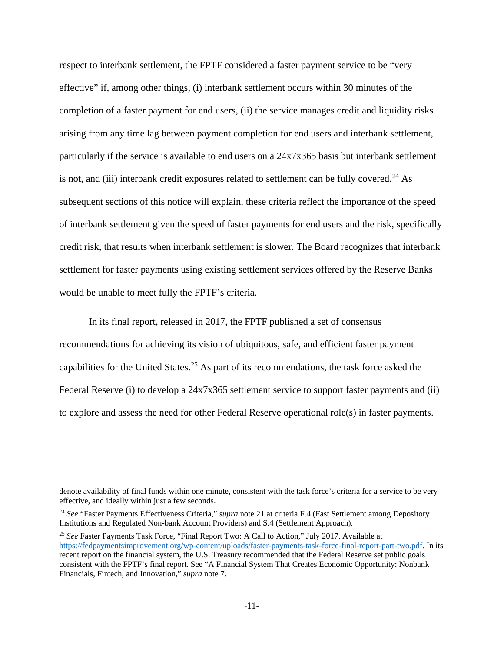respect to interbank settlement, the FPTF considered a faster payment service to be "very effective" if, among other things, (i) interbank settlement occurs within 30 minutes of the completion of a faster payment for end users, (ii) the service manages credit and liquidity risks arising from any time lag between payment completion for end users and interbank settlement, particularly if the service is available to end users on a 24x7x365 basis but interbank settlement is not, and (iii) interbank credit exposures related to settlement can be fully covered.<sup>[24](#page-10-0)</sup> As subsequent sections of this notice will explain, these criteria reflect the importance of the speed of interbank settlement given the speed of faster payments for end users and the risk, specifically credit risk, that results when interbank settlement is slower. The Board recognizes that interbank settlement for faster payments using existing settlement services offered by the Reserve Banks would be unable to meet fully the FPTF's criteria.

In its final report, released in 2017, the FPTF published a set of consensus recommendations for achieving its vision of ubiquitous, safe, and efficient faster payment capabilities for the United States.<sup>[25](#page-10-1)</sup> As part of its recommendations, the task force asked the Federal Reserve (i) to develop a 24x7x365 settlement service to support faster payments and (ii) to explore and assess the need for other Federal Reserve operational role(s) in faster payments.

 $\overline{a}$ 

denote availability of final funds within one minute, consistent with the task force's criteria for a service to be very effective, and ideally within just a few seconds.

<span id="page-10-0"></span><sup>24</sup> *See* "Faster Payments Effectiveness Criteria," *supra* note 21 at criteria F.4 (Fast Settlement among Depository Institutions and Regulated Non-bank Account Providers) and S.4 (Settlement Approach).

<span id="page-10-1"></span><sup>25</sup> *See* Faster Payments Task Force, "Final Report Two: A Call to Action," July 2017. Available at [https://fedpaymentsimprovement.org/wp-content/uploads/faster-payments-task-force-final-report-part-two.pdf.](https://fedpaymentsimprovement.org/wp-content/uploads/faster-payments-task-force-final-report-part-two.pdf) In its recent report on the financial system, the U.S. Treasury recommended that the Federal Reserve set public goals consistent with the FPTF's final report. See "A Financial System That Creates Economic Opportunity: Nonbank Financials, Fintech, and Innovation," *supra* note 7.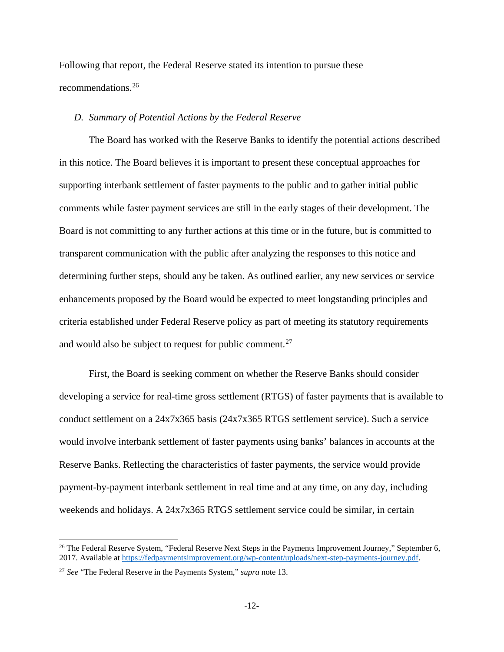Following that report, the Federal Reserve stated its intention to pursue these recommendations.[26](#page-11-0)

## *D. Summary of Potential Actions by the Federal Reserve*

The Board has worked with the Reserve Banks to identify the potential actions described in this notice. The Board believes it is important to present these conceptual approaches for supporting interbank settlement of faster payments to the public and to gather initial public comments while faster payment services are still in the early stages of their development. The Board is not committing to any further actions at this time or in the future, but is committed to transparent communication with the public after analyzing the responses to this notice and determining further steps, should any be taken. As outlined earlier, any new services or service enhancements proposed by the Board would be expected to meet longstanding principles and criteria established under Federal Reserve policy as part of meeting its statutory requirements and would also be subject to request for public comment.<sup>[27](#page-11-1)</sup>

First, the Board is seeking comment on whether the Reserve Banks should consider developing a service for real-time gross settlement (RTGS) of faster payments that is available to conduct settlement on a 24x7x365 basis (24x7x365 RTGS settlement service). Such a service would involve interbank settlement of faster payments using banks' balances in accounts at the Reserve Banks. Reflecting the characteristics of faster payments, the service would provide payment-by-payment interbank settlement in real time and at any time, on any day, including weekends and holidays. A 24x7x365 RTGS settlement service could be similar, in certain

<span id="page-11-0"></span><sup>&</sup>lt;sup>26</sup> The Federal Reserve System, "Federal Reserve Next Steps in the Payments Improvement Journey," September 6, 2017. Available at [https://fedpaymentsimprovement.org/wp-content/uploads/next-step-payments-journey.pdf.](https://fedpaymentsimprovement.org/wp-content/uploads/next-step-payments-journey.pdf)

<span id="page-11-1"></span><sup>27</sup> *See* "The Federal Reserve in the Payments System," *supra* note 13.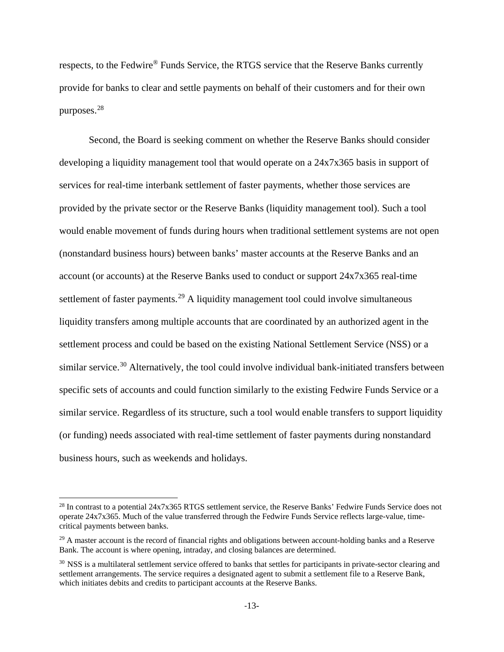respects, to the Fedwire® Funds Service, the RTGS service that the Reserve Banks currently provide for banks to clear and settle payments on behalf of their customers and for their own purposes. [28](#page-12-0)

Second, the Board is seeking comment on whether the Reserve Banks should consider developing a liquidity management tool that would operate on a 24x7x365 basis in support of services for real-time interbank settlement of faster payments, whether those services are provided by the private sector or the Reserve Banks (liquidity management tool). Such a tool would enable movement of funds during hours when traditional settlement systems are not open (nonstandard business hours) between banks' master accounts at the Reserve Banks and an account (or accounts) at the Reserve Banks used to conduct or support 24x7x365 real-time settlement of faster payments.<sup>[29](#page-12-1)</sup> A liquidity management tool could involve simultaneous liquidity transfers among multiple accounts that are coordinated by an authorized agent in the settlement process and could be based on the existing National Settlement Service (NSS) or a similar service.<sup>[30](#page-12-2)</sup> Alternatively, the tool could involve individual bank-initiated transfers between specific sets of accounts and could function similarly to the existing Fedwire Funds Service or a similar service. Regardless of its structure, such a tool would enable transfers to support liquidity (or funding) needs associated with real-time settlement of faster payments during nonstandard business hours, such as weekends and holidays.

<span id="page-12-0"></span><sup>&</sup>lt;sup>28</sup> In contrast to a potential 24x7x365 RTGS settlement service, the Reserve Banks' Fedwire Funds Service does not operate 24x7x365. Much of the value transferred through the Fedwire Funds Service reflects large-value, timecritical payments between banks.

<span id="page-12-1"></span> $29$  A master account is the record of financial rights and obligations between account-holding banks and a Reserve Bank. The account is where opening, intraday, and closing balances are determined.

<span id="page-12-2"></span><sup>&</sup>lt;sup>30</sup> NSS is a multilateral settlement service offered to banks that settles for participants in private-sector clearing and settlement arrangements. The service requires a designated agent to submit a settlement file to a Reserve Bank, which initiates debits and credits to participant accounts at the Reserve Banks.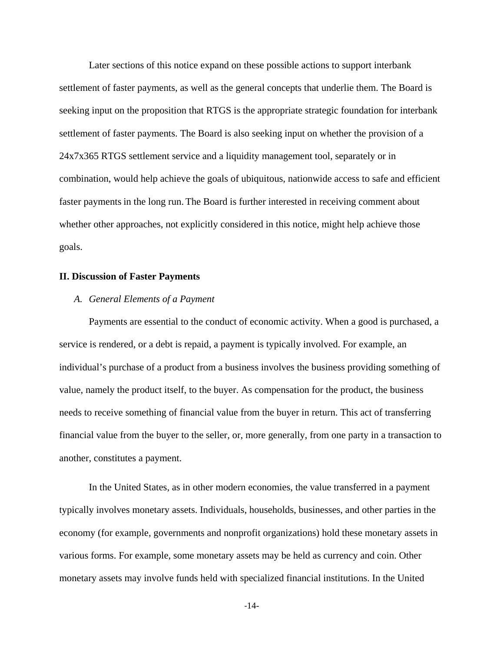Later sections of this notice expand on these possible actions to support interbank settlement of faster payments, as well as the general concepts that underlie them. The Board is seeking input on the proposition that RTGS is the appropriate strategic foundation for interbank settlement of faster payments. The Board is also seeking input on whether the provision of a 24x7x365 RTGS settlement service and a liquidity management tool, separately or in combination, would help achieve the goals of ubiquitous, nationwide access to safe and efficient faster payments in the long run. The Board is further interested in receiving comment about whether other approaches, not explicitly considered in this notice, might help achieve those goals.

#### **II. Discussion of Faster Payments**

### *A. General Elements of a Payment*

Payments are essential to the conduct of economic activity. When a good is purchased, a service is rendered, or a debt is repaid, a payment is typically involved. For example, an individual's purchase of a product from a business involves the business providing something of value, namely the product itself, to the buyer. As compensation for the product, the business needs to receive something of financial value from the buyer in return. This act of transferring financial value from the buyer to the seller, or, more generally, from one party in a transaction to another, constitutes a payment.

In the United States, as in other modern economies, the value transferred in a payment typically involves monetary assets. Individuals, households, businesses, and other parties in the economy (for example, governments and nonprofit organizations) hold these monetary assets in various forms. For example, some monetary assets may be held as currency and coin. Other monetary assets may involve funds held with specialized financial institutions. In the United

-14-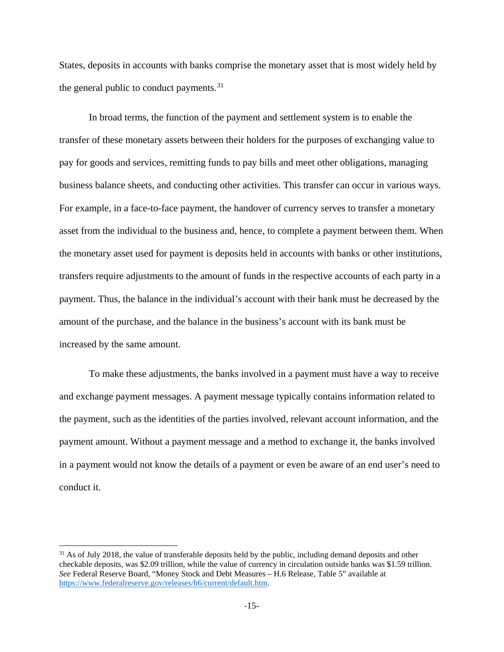States, deposits in accounts with banks comprise the monetary asset that is most widely held by the general public to conduct payments.<sup>[31](#page-14-0)</sup>

In broad terms, the function of the payment and settlement system is to enable the transfer of these monetary assets between their holders for the purposes of exchanging value to pay for goods and services, remitting funds to pay bills and meet other obligations, managing business balance sheets, and conducting other activities. This transfer can occur in various ways. For example, in a face-to-face payment, the handover of currency serves to transfer a monetary asset from the individual to the business and, hence, to complete a payment between them. When the monetary asset used for payment is deposits held in accounts with banks or other institutions, transfers require adjustments to the amount of funds in the respective accounts of each party in a payment. Thus, the balance in the individual's account with their bank must be decreased by the amount of the purchase, and the balance in the business's account with its bank must be increased by the same amount.

To make these adjustments, the banks involved in a payment must have a way to receive and exchange payment messages. A payment message typically contains information related to the payment, such as the identities of the parties involved, relevant account information, and the payment amount. Without a payment message and a method to exchange it, the banks involved in a payment would not know the details of a payment or even be aware of an end user's need to conduct it.

<span id="page-14-0"></span><sup>&</sup>lt;sup>31</sup> As of July 2018, the value of transferable deposits held by the public, including demand deposits and other checkable deposits, was \$2.09 trillion, while the value of currency in circulation outside banks was \$1.59 trillion. *See* Federal Reserve Board, "Money Stock and Debt Measures – H.6 Release, Table 5" available at [https://www.federalreserve.gov/releases/h6/current/default.htm.](https://www.federalreserve.gov/releases/h6/current/default.htm)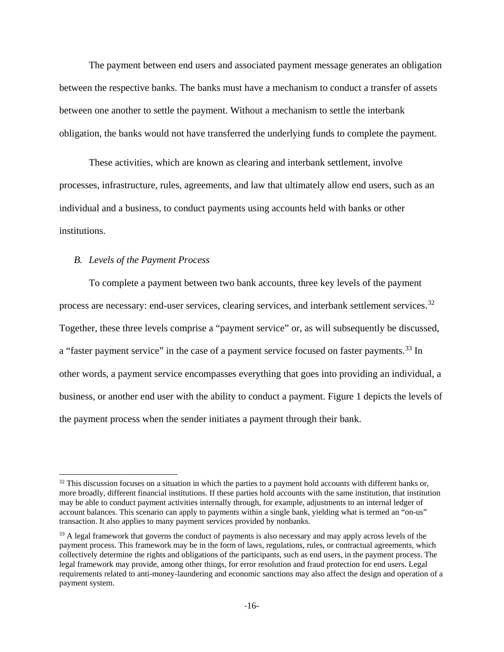The payment between end users and associated payment message generates an obligation between the respective banks. The banks must have a mechanism to conduct a transfer of assets between one another to settle the payment. Without a mechanism to settle the interbank obligation, the banks would not have transferred the underlying funds to complete the payment.

These activities, which are known as clearing and interbank settlement, involve processes, infrastructure, rules, agreements, and law that ultimately allow end users, such as an individual and a business, to conduct payments using accounts held with banks or other institutions.

#### *B. Levels of the Payment Process*

To complete a payment between two bank accounts, three key levels of the payment process are necessary: end-user services, clearing services, and interbank settlement services.<sup>[32](#page-15-0)</sup> Together, these three levels comprise a "payment service" or, as will subsequently be discussed, a "faster payment service" in the case of a payment service focused on faster payments.<sup>[33](#page-15-1)</sup> In other words, a payment service encompasses everything that goes into providing an individual, a business, or another end user with the ability to conduct a payment. Figure 1 depicts the levels of the payment process when the sender initiates a payment through their bank.

<span id="page-15-0"></span><sup>&</sup>lt;sup>32</sup> This discussion focuses on a situation in which the parties to a payment hold accounts with different banks or, more broadly, different financial institutions. If these parties hold accounts with the same institution, that institution may be able to conduct payment activities internally through, for example, adjustments to an internal ledger of account balances. This scenario can apply to payments within a single bank, yielding what is termed an "on-us" transaction. It also applies to many payment services provided by nonbanks.

<span id="page-15-1"></span><sup>&</sup>lt;sup>33</sup> A legal framework that governs the conduct of payments is also necessary and may apply across levels of the payment process. This framework may be in the form of laws, regulations, rules, or contractual agreements, which collectively determine the rights and obligations of the participants, such as end users, in the payment process. The legal framework may provide, among other things, for error resolution and fraud protection for end users. Legal requirements related to anti-money-laundering and economic sanctions may also affect the design and operation of a payment system.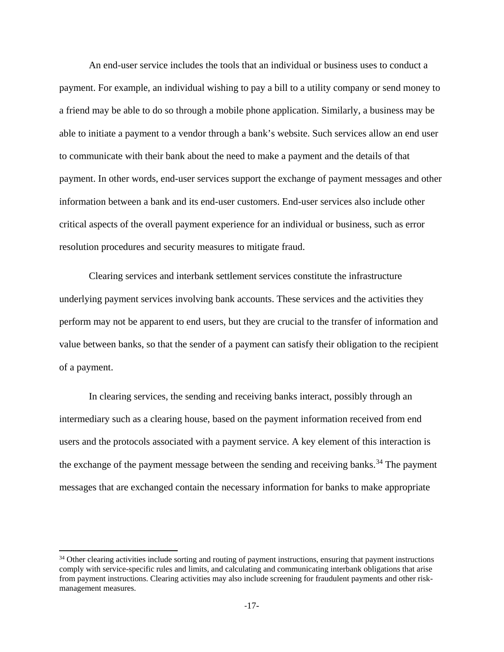An end-user service includes the tools that an individual or business uses to conduct a payment. For example, an individual wishing to pay a bill to a utility company or send money to a friend may be able to do so through a mobile phone application. Similarly, a business may be able to initiate a payment to a vendor through a bank's website. Such services allow an end user to communicate with their bank about the need to make a payment and the details of that payment. In other words, end-user services support the exchange of payment messages and other information between a bank and its end-user customers. End-user services also include other critical aspects of the overall payment experience for an individual or business, such as error resolution procedures and security measures to mitigate fraud.

Clearing services and interbank settlement services constitute the infrastructure underlying payment services involving bank accounts. These services and the activities they perform may not be apparent to end users, but they are crucial to the transfer of information and value between banks, so that the sender of a payment can satisfy their obligation to the recipient of a payment.

In clearing services, the sending and receiving banks interact, possibly through an intermediary such as a clearing house, based on the payment information received from end users and the protocols associated with a payment service. A key element of this interaction is the exchange of the payment message between the sending and receiving banks.<sup>[34](#page-16-0)</sup> The payment messages that are exchanged contain the necessary information for banks to make appropriate

<span id="page-16-0"></span><sup>&</sup>lt;sup>34</sup> Other clearing activities include sorting and routing of payment instructions, ensuring that payment instructions comply with service-specific rules and limits, and calculating and communicating interbank obligations that arise from payment instructions. Clearing activities may also include screening for fraudulent payments and other riskmanagement measures.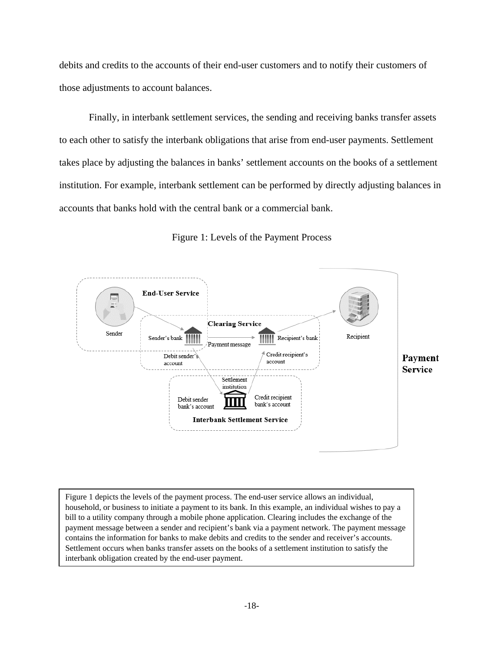debits and credits to the accounts of their end-user customers and to notify their customers of those adjustments to account balances.

Finally, in interbank settlement services, the sending and receiving banks transfer assets to each other to satisfy the interbank obligations that arise from end-user payments. Settlement takes place by adjusting the balances in banks' settlement accounts on the books of a settlement institution. For example, interbank settlement can be performed by directly adjusting balances in accounts that banks hold with the central bank or a commercial bank.



Figure 1: Levels of the Payment Process

Figure 1 depicts the levels of the payment process. The end-user service allows an individual, household, or business to initiate a payment to its bank. In this example, an individual wishes to pay a bill to a utility company through a mobile phone application. Clearing includes the exchange of the payment message between a sender and recipient's bank via a payment network. The payment message contains the information for banks to make debits and credits to the sender and receiver's accounts. Settlement occurs when banks transfer assets on the books of a settlement institution to satisfy the interbank obligation created by the end-user payment.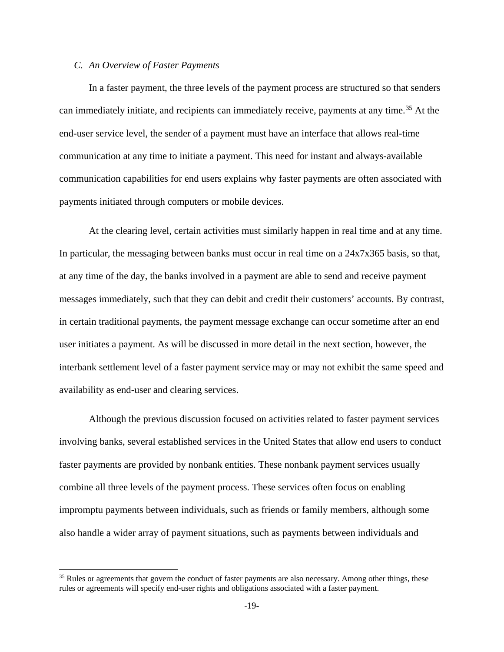## *C. An Overview of Faster Payments*

In a faster payment, the three levels of the payment process are structured so that senders can immediately initiate, and recipients can immediately receive, payments at any time.<sup>[35](#page-18-0)</sup> At the end-user service level, the sender of a payment must have an interface that allows real-time communication at any time to initiate a payment. This need for instant and always-available communication capabilities for end users explains why faster payments are often associated with payments initiated through computers or mobile devices.

At the clearing level, certain activities must similarly happen in real time and at any time. In particular, the messaging between banks must occur in real time on a 24x7x365 basis, so that, at any time of the day, the banks involved in a payment are able to send and receive payment messages immediately, such that they can debit and credit their customers' accounts. By contrast, in certain traditional payments, the payment message exchange can occur sometime after an end user initiates a payment. As will be discussed in more detail in the next section, however, the interbank settlement level of a faster payment service may or may not exhibit the same speed and availability as end-user and clearing services.

Although the previous discussion focused on activities related to faster payment services involving banks, several established services in the United States that allow end users to conduct faster payments are provided by nonbank entities. These nonbank payment services usually combine all three levels of the payment process. These services often focus on enabling impromptu payments between individuals, such as friends or family members, although some also handle a wider array of payment situations, such as payments between individuals and

<span id="page-18-0"></span><sup>&</sup>lt;sup>35</sup> Rules or agreements that govern the conduct of faster payments are also necessary. Among other things, these rules or agreements will specify end-user rights and obligations associated with a faster payment.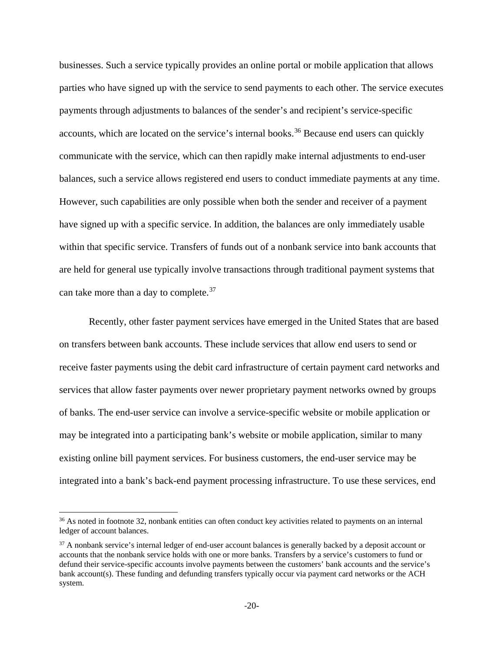businesses. Such a service typically provides an online portal or mobile application that allows parties who have signed up with the service to send payments to each other. The service executes payments through adjustments to balances of the sender's and recipient's service-specific accounts, which are located on the service's internal books.<sup>[36](#page-19-0)</sup> Because end users can quickly communicate with the service, which can then rapidly make internal adjustments to end-user balances, such a service allows registered end users to conduct immediate payments at any time. However, such capabilities are only possible when both the sender and receiver of a payment have signed up with a specific service. In addition, the balances are only immediately usable within that specific service. Transfers of funds out of a nonbank service into bank accounts that are held for general use typically involve transactions through traditional payment systems that can take more than a day to complete.<sup>[37](#page-19-1)</sup>

Recently, other faster payment services have emerged in the United States that are based on transfers between bank accounts. These include services that allow end users to send or receive faster payments using the debit card infrastructure of certain payment card networks and services that allow faster payments over newer proprietary payment networks owned by groups of banks. The end-user service can involve a service-specific website or mobile application or may be integrated into a participating bank's website or mobile application, similar to many existing online bill payment services. For business customers, the end-user service may be integrated into a bank's back-end payment processing infrastructure. To use these services, end

<span id="page-19-0"></span><sup>&</sup>lt;sup>36</sup> As noted in footnote 32, nonbank entities can often conduct key activities related to payments on an internal ledger of account balances.

<span id="page-19-1"></span><sup>&</sup>lt;sup>37</sup> A nonbank service's internal ledger of end-user account balances is generally backed by a deposit account or accounts that the nonbank service holds with one or more banks. Transfers by a service's customers to fund or defund their service-specific accounts involve payments between the customers' bank accounts and the service's bank account(s). These funding and defunding transfers typically occur via payment card networks or the ACH system.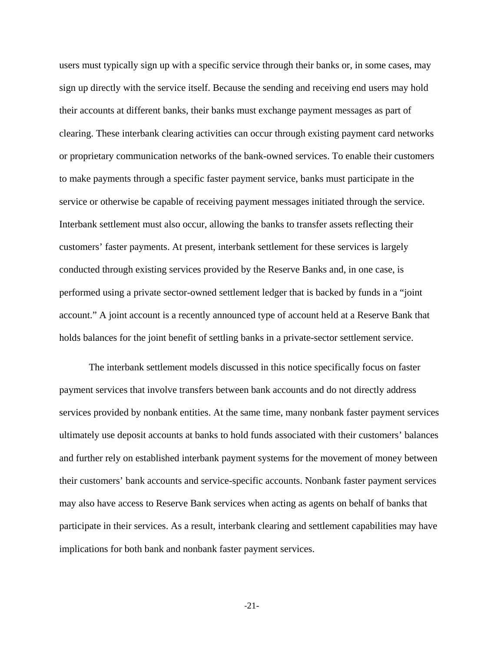users must typically sign up with a specific service through their banks or, in some cases, may sign up directly with the service itself. Because the sending and receiving end users may hold their accounts at different banks, their banks must exchange payment messages as part of clearing. These interbank clearing activities can occur through existing payment card networks or proprietary communication networks of the bank-owned services. To enable their customers to make payments through a specific faster payment service, banks must participate in the service or otherwise be capable of receiving payment messages initiated through the service. Interbank settlement must also occur, allowing the banks to transfer assets reflecting their customers' faster payments. At present, interbank settlement for these services is largely conducted through existing services provided by the Reserve Banks and, in one case, is performed using a private sector-owned settlement ledger that is backed by funds in a "joint account." A joint account is a recently announced type of account held at a Reserve Bank that holds balances for the joint benefit of settling banks in a private-sector settlement service.

The interbank settlement models discussed in this notice specifically focus on faster payment services that involve transfers between bank accounts and do not directly address services provided by nonbank entities. At the same time, many nonbank faster payment services ultimately use deposit accounts at banks to hold funds associated with their customers' balances and further rely on established interbank payment systems for the movement of money between their customers' bank accounts and service-specific accounts. Nonbank faster payment services may also have access to Reserve Bank services when acting as agents on behalf of banks that participate in their services. As a result, interbank clearing and settlement capabilities may have implications for both bank and nonbank faster payment services.

-21-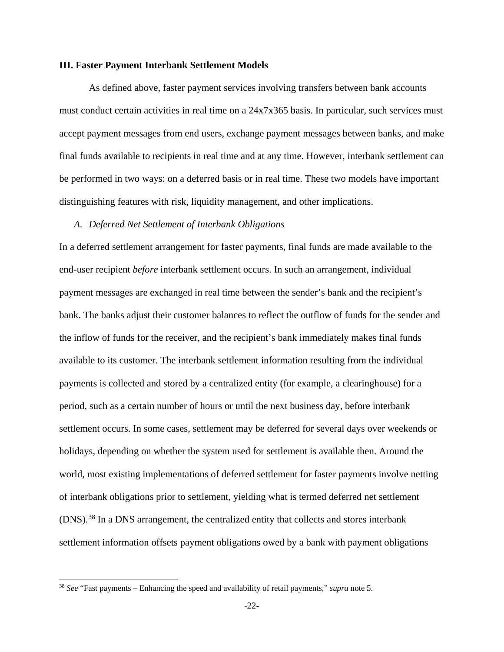#### **III. Faster Payment Interbank Settlement Models**

As defined above, faster payment services involving transfers between bank accounts must conduct certain activities in real time on a 24x7x365 basis. In particular, such services must accept payment messages from end users, exchange payment messages between banks, and make final funds available to recipients in real time and at any time. However, interbank settlement can be performed in two ways: on a deferred basis or in real time. These two models have important distinguishing features with risk, liquidity management, and other implications.

#### *A. Deferred Net Settlement of Interbank Obligations*

In a deferred settlement arrangement for faster payments, final funds are made available to the end-user recipient *before* interbank settlement occurs. In such an arrangement, individual payment messages are exchanged in real time between the sender's bank and the recipient's bank. The banks adjust their customer balances to reflect the outflow of funds for the sender and the inflow of funds for the receiver, and the recipient's bank immediately makes final funds available to its customer. The interbank settlement information resulting from the individual payments is collected and stored by a centralized entity (for example, a clearinghouse) for a period, such as a certain number of hours or until the next business day, before interbank settlement occurs. In some cases, settlement may be deferred for several days over weekends or holidays, depending on whether the system used for settlement is available then. Around the world, most existing implementations of deferred settlement for faster payments involve netting of interbank obligations prior to settlement, yielding what is termed deferred net settlement (DNS).[38](#page-21-0) In a DNS arrangement, the centralized entity that collects and stores interbank settlement information offsets payment obligations owed by a bank with payment obligations

<span id="page-21-0"></span> <sup>38</sup> *See* "Fast payments – Enhancing the speed and availability of retail payments," *supra* note 5.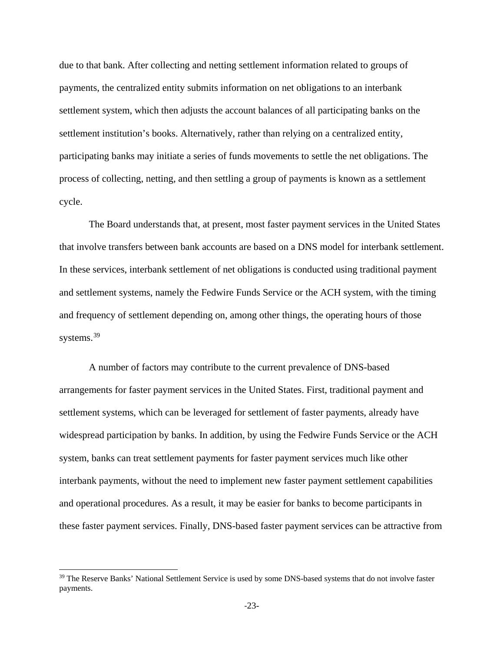due to that bank. After collecting and netting settlement information related to groups of payments, the centralized entity submits information on net obligations to an interbank settlement system, which then adjusts the account balances of all participating banks on the settlement institution's books. Alternatively, rather than relying on a centralized entity, participating banks may initiate a series of funds movements to settle the net obligations. The process of collecting, netting, and then settling a group of payments is known as a settlement cycle.

The Board understands that, at present, most faster payment services in the United States that involve transfers between bank accounts are based on a DNS model for interbank settlement. In these services, interbank settlement of net obligations is conducted using traditional payment and settlement systems, namely the Fedwire Funds Service or the ACH system, with the timing and frequency of settlement depending on, among other things, the operating hours of those systems. [39](#page-22-0)

A number of factors may contribute to the current prevalence of DNS-based arrangements for faster payment services in the United States. First, traditional payment and settlement systems, which can be leveraged for settlement of faster payments, already have widespread participation by banks. In addition, by using the Fedwire Funds Service or the ACH system, banks can treat settlement payments for faster payment services much like other interbank payments, without the need to implement new faster payment settlement capabilities and operational procedures. As a result, it may be easier for banks to become participants in these faster payment services. Finally, DNS-based faster payment services can be attractive from

<span id="page-22-0"></span><sup>&</sup>lt;sup>39</sup> The Reserve Banks' National Settlement Service is used by some DNS-based systems that do not involve faster payments.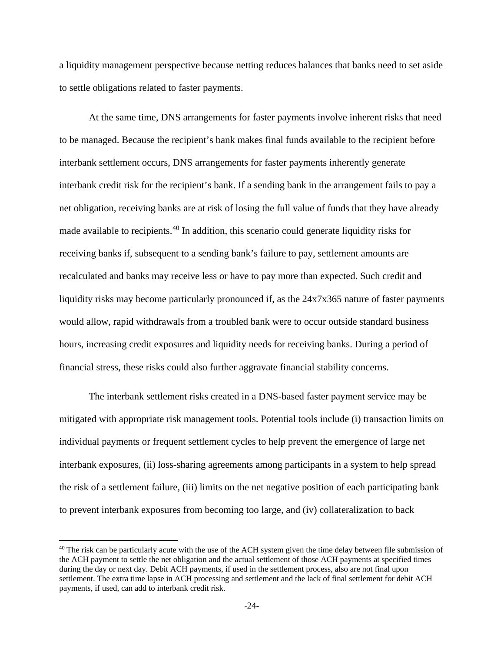a liquidity management perspective because netting reduces balances that banks need to set aside to settle obligations related to faster payments.

At the same time, DNS arrangements for faster payments involve inherent risks that need to be managed. Because the recipient's bank makes final funds available to the recipient before interbank settlement occurs, DNS arrangements for faster payments inherently generate interbank credit risk for the recipient's bank. If a sending bank in the arrangement fails to pay a net obligation, receiving banks are at risk of losing the full value of funds that they have already made available to recipients.<sup>[40](#page-23-0)</sup> In addition, this scenario could generate liquidity risks for receiving banks if, subsequent to a sending bank's failure to pay, settlement amounts are recalculated and banks may receive less or have to pay more than expected. Such credit and liquidity risks may become particularly pronounced if, as the 24x7x365 nature of faster payments would allow, rapid withdrawals from a troubled bank were to occur outside standard business hours, increasing credit exposures and liquidity needs for receiving banks. During a period of financial stress, these risks could also further aggravate financial stability concerns.

The interbank settlement risks created in a DNS-based faster payment service may be mitigated with appropriate risk management tools. Potential tools include (i) transaction limits on individual payments or frequent settlement cycles to help prevent the emergence of large net interbank exposures, (ii) loss-sharing agreements among participants in a system to help spread the risk of a settlement failure, (iii) limits on the net negative position of each participating bank to prevent interbank exposures from becoming too large, and (iv) collateralization to back

 $\overline{a}$ 

<span id="page-23-0"></span><sup>&</sup>lt;sup>40</sup> The risk can be particularly acute with the use of the ACH system given the time delay between file submission of the ACH payment to settle the net obligation and the actual settlement of those ACH payments at specified times during the day or next day. Debit ACH payments, if used in the settlement process, also are not final upon settlement. The extra time lapse in ACH processing and settlement and the lack of final settlement for debit ACH payments, if used, can add to interbank credit risk.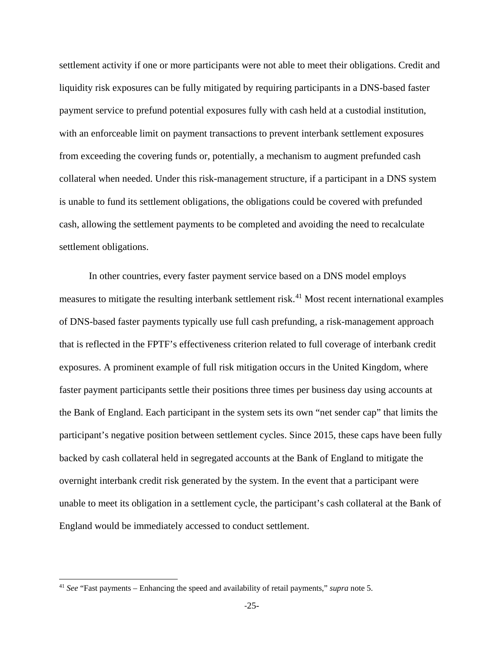settlement activity if one or more participants were not able to meet their obligations. Credit and liquidity risk exposures can be fully mitigated by requiring participants in a DNS-based faster payment service to prefund potential exposures fully with cash held at a custodial institution, with an enforceable limit on payment transactions to prevent interbank settlement exposures from exceeding the covering funds or, potentially, a mechanism to augment prefunded cash collateral when needed. Under this risk-management structure, if a participant in a DNS system is unable to fund its settlement obligations, the obligations could be covered with prefunded cash, allowing the settlement payments to be completed and avoiding the need to recalculate settlement obligations.

In other countries, every faster payment service based on a DNS model employs measures to mitigate the resulting interbank settlement risk.<sup>[41](#page-24-0)</sup> Most recent international examples of DNS-based faster payments typically use full cash prefunding, a risk-management approach that is reflected in the FPTF's effectiveness criterion related to full coverage of interbank credit exposures. A prominent example of full risk mitigation occurs in the United Kingdom, where faster payment participants settle their positions three times per business day using accounts at the Bank of England. Each participant in the system sets its own "net sender cap" that limits the participant's negative position between settlement cycles. Since 2015, these caps have been fully backed by cash collateral held in segregated accounts at the Bank of England to mitigate the overnight interbank credit risk generated by the system. In the event that a participant were unable to meet its obligation in a settlement cycle, the participant's cash collateral at the Bank of England would be immediately accessed to conduct settlement.

<span id="page-24-0"></span> <sup>41</sup> *See* "Fast payments – Enhancing the speed and availability of retail payments," *supra* note 5.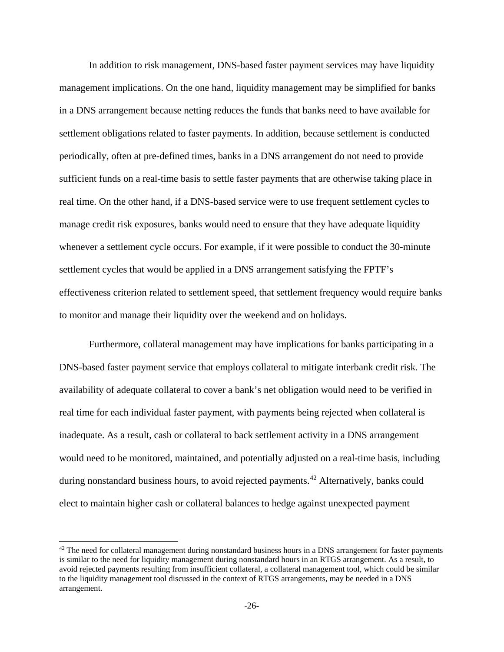In addition to risk management, DNS-based faster payment services may have liquidity management implications. On the one hand, liquidity management may be simplified for banks in a DNS arrangement because netting reduces the funds that banks need to have available for settlement obligations related to faster payments. In addition, because settlement is conducted periodically, often at pre-defined times, banks in a DNS arrangement do not need to provide sufficient funds on a real-time basis to settle faster payments that are otherwise taking place in real time. On the other hand, if a DNS-based service were to use frequent settlement cycles to manage credit risk exposures, banks would need to ensure that they have adequate liquidity whenever a settlement cycle occurs. For example, if it were possible to conduct the 30-minute settlement cycles that would be applied in a DNS arrangement satisfying the FPTF's effectiveness criterion related to settlement speed, that settlement frequency would require banks to monitor and manage their liquidity over the weekend and on holidays.

Furthermore, collateral management may have implications for banks participating in a DNS-based faster payment service that employs collateral to mitigate interbank credit risk. The availability of adequate collateral to cover a bank's net obligation would need to be verified in real time for each individual faster payment, with payments being rejected when collateral is inadequate. As a result, cash or collateral to back settlement activity in a DNS arrangement would need to be monitored, maintained, and potentially adjusted on a real-time basis, including during nonstandard business hours, to avoid rejected payments.<sup>[42](#page-25-0)</sup> Alternatively, banks could elect to maintain higher cash or collateral balances to hedge against unexpected payment

<span id="page-25-0"></span><sup>&</sup>lt;sup>42</sup> The need for collateral management during nonstandard business hours in a DNS arrangement for faster payments is similar to the need for liquidity management during nonstandard hours in an RTGS arrangement. As a result, to avoid rejected payments resulting from insufficient collateral, a collateral management tool, which could be similar to the liquidity management tool discussed in the context of RTGS arrangements, may be needed in a DNS arrangement.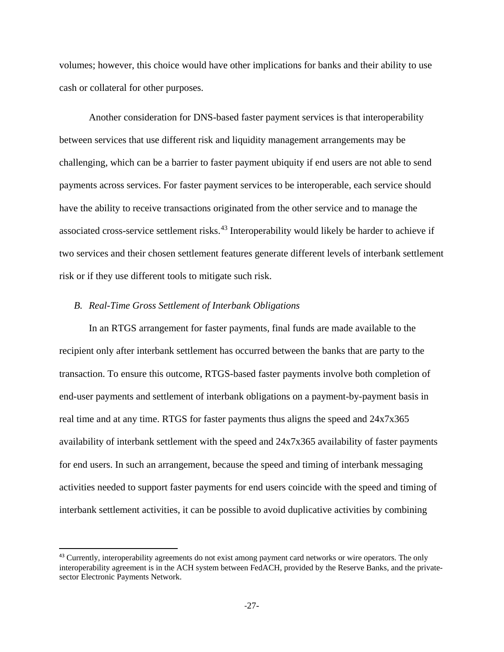volumes; however, this choice would have other implications for banks and their ability to use cash or collateral for other purposes.

Another consideration for DNS-based faster payment services is that interoperability between services that use different risk and liquidity management arrangements may be challenging, which can be a barrier to faster payment ubiquity if end users are not able to send payments across services. For faster payment services to be interoperable, each service should have the ability to receive transactions originated from the other service and to manage the associated cross-service settlement risks.<sup>[43](#page-26-0)</sup> Interoperability would likely be harder to achieve if two services and their chosen settlement features generate different levels of interbank settlement risk or if they use different tools to mitigate such risk.

#### *B. Real-Time Gross Settlement of Interbank Obligations*

 $\overline{a}$ 

In an RTGS arrangement for faster payments, final funds are made available to the recipient only after interbank settlement has occurred between the banks that are party to the transaction. To ensure this outcome, RTGS-based faster payments involve both completion of end-user payments and settlement of interbank obligations on a payment-by-payment basis in real time and at any time. RTGS for faster payments thus aligns the speed and 24x7x365 availability of interbank settlement with the speed and 24x7x365 availability of faster payments for end users. In such an arrangement, because the speed and timing of interbank messaging activities needed to support faster payments for end users coincide with the speed and timing of interbank settlement activities, it can be possible to avoid duplicative activities by combining

<span id="page-26-0"></span><sup>&</sup>lt;sup>43</sup> Currently, interoperability agreements do not exist among payment card networks or wire operators. The only interoperability agreement is in the ACH system between FedACH, provided by the Reserve Banks, and the privatesector Electronic Payments Network.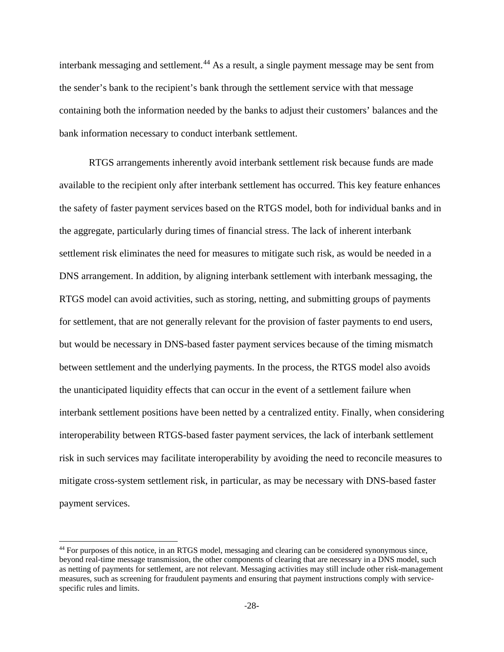interbank messaging and settlement. [44](#page-27-0) As a result, a single payment message may be sent from the sender's bank to the recipient's bank through the settlement service with that message containing both the information needed by the banks to adjust their customers' balances and the bank information necessary to conduct interbank settlement.

RTGS arrangements inherently avoid interbank settlement risk because funds are made available to the recipient only after interbank settlement has occurred. This key feature enhances the safety of faster payment services based on the RTGS model, both for individual banks and in the aggregate, particularly during times of financial stress. The lack of inherent interbank settlement risk eliminates the need for measures to mitigate such risk, as would be needed in a DNS arrangement. In addition, by aligning interbank settlement with interbank messaging, the RTGS model can avoid activities, such as storing, netting, and submitting groups of payments for settlement, that are not generally relevant for the provision of faster payments to end users, but would be necessary in DNS-based faster payment services because of the timing mismatch between settlement and the underlying payments. In the process, the RTGS model also avoids the unanticipated liquidity effects that can occur in the event of a settlement failure when interbank settlement positions have been netted by a centralized entity. Finally, when considering interoperability between RTGS-based faster payment services, the lack of interbank settlement risk in such services may facilitate interoperability by avoiding the need to reconcile measures to mitigate cross-system settlement risk, in particular, as may be necessary with DNS-based faster payment services.

<span id="page-27-0"></span> <sup>44</sup> For purposes of this notice, in an RTGS model, messaging and clearing can be considered synonymous since, beyond real-time message transmission, the other components of clearing that are necessary in a DNS model, such as netting of payments for settlement, are not relevant. Messaging activities may still include other risk-management measures, such as screening for fraudulent payments and ensuring that payment instructions comply with servicespecific rules and limits.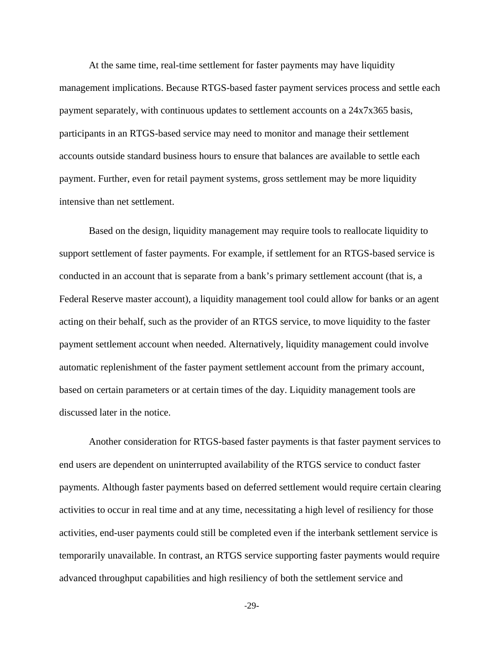At the same time, real-time settlement for faster payments may have liquidity management implications. Because RTGS-based faster payment services process and settle each payment separately, with continuous updates to settlement accounts on a 24x7x365 basis, participants in an RTGS-based service may need to monitor and manage their settlement accounts outside standard business hours to ensure that balances are available to settle each payment. Further, even for retail payment systems, gross settlement may be more liquidity intensive than net settlement.

Based on the design, liquidity management may require tools to reallocate liquidity to support settlement of faster payments. For example, if settlement for an RTGS-based service is conducted in an account that is separate from a bank's primary settlement account (that is, a Federal Reserve master account), a liquidity management tool could allow for banks or an agent acting on their behalf, such as the provider of an RTGS service, to move liquidity to the faster payment settlement account when needed. Alternatively, liquidity management could involve automatic replenishment of the faster payment settlement account from the primary account, based on certain parameters or at certain times of the day. Liquidity management tools are discussed later in the notice.

Another consideration for RTGS-based faster payments is that faster payment services to end users are dependent on uninterrupted availability of the RTGS service to conduct faster payments. Although faster payments based on deferred settlement would require certain clearing activities to occur in real time and at any time, necessitating a high level of resiliency for those activities, end-user payments could still be completed even if the interbank settlement service is temporarily unavailable. In contrast, an RTGS service supporting faster payments would require advanced throughput capabilities and high resiliency of both the settlement service and

-29-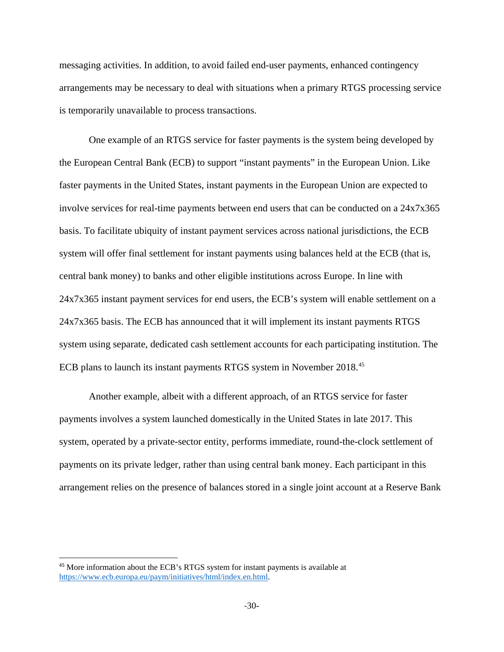messaging activities. In addition, to avoid failed end-user payments, enhanced contingency arrangements may be necessary to deal with situations when a primary RTGS processing service is temporarily unavailable to process transactions.

One example of an RTGS service for faster payments is the system being developed by the European Central Bank (ECB) to support "instant payments" in the European Union. Like faster payments in the United States, instant payments in the European Union are expected to involve services for real-time payments between end users that can be conducted on a 24x7x365 basis. To facilitate ubiquity of instant payment services across national jurisdictions, the ECB system will offer final settlement for instant payments using balances held at the ECB (that is, central bank money) to banks and other eligible institutions across Europe. In line with 24x7x365 instant payment services for end users, the ECB's system will enable settlement on a 24x7x365 basis. The ECB has announced that it will implement its instant payments RTGS system using separate, dedicated cash settlement accounts for each participating institution. The ECB plans to launch its instant payments RTGS system in November 2018.<sup>[45](#page-29-0)</sup>

Another example, albeit with a different approach, of an RTGS service for faster payments involves a system launched domestically in the United States in late 2017. This system, operated by a private-sector entity, performs immediate, round-the-clock settlement of payments on its private ledger, rather than using central bank money. Each participant in this arrangement relies on the presence of balances stored in a single joint account at a Reserve Bank

 $\overline{a}$ 

<span id="page-29-0"></span><sup>45</sup> More information about the ECB's RTGS system for instant payments is available at [https://www.ecb.europa.eu/paym/initiatives/html/index.en.html.](https://www.ecb.europa.eu/paym/initiatives/html/index.en.html)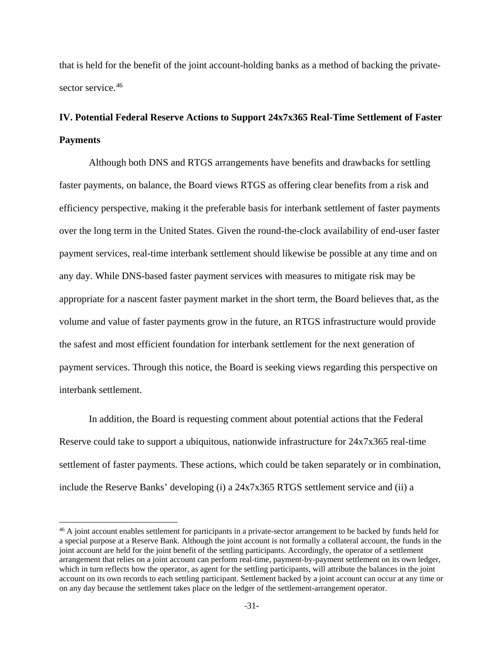that is held for the benefit of the joint account-holding banks as a method of backing the privatesector service. [46](#page-30-0)

# **IV. Potential Federal Reserve Actions to Support 24x7x365 Real-Time Settlement of Faster Payments**

Although both DNS and RTGS arrangements have benefits and drawbacks for settling faster payments, on balance, the Board views RTGS as offering clear benefits from a risk and efficiency perspective, making it the preferable basis for interbank settlement of faster payments over the long term in the United States. Given the round-the-clock availability of end-user faster payment services, real-time interbank settlement should likewise be possible at any time and on any day. While DNS-based faster payment services with measures to mitigate risk may be appropriate for a nascent faster payment market in the short term, the Board believes that, as the volume and value of faster payments grow in the future, an RTGS infrastructure would provide the safest and most efficient foundation for interbank settlement for the next generation of payment services. Through this notice, the Board is seeking views regarding this perspective on interbank settlement.

In addition, the Board is requesting comment about potential actions that the Federal Reserve could take to support a ubiquitous, nationwide infrastructure for 24x7x365 real-time settlement of faster payments. These actions, which could be taken separately or in combination, include the Reserve Banks' developing (i) a 24x7x365 RTGS settlement service and (ii) a

<span id="page-30-0"></span><sup>&</sup>lt;sup>46</sup> A joint account enables settlement for participants in a private-sector arrangement to be backed by funds held for a special purpose at a Reserve Bank. Although the joint account is not formally a collateral account, the funds in the joint account are held for the joint benefit of the settling participants. Accordingly, the operator of a settlement arrangement that relies on a joint account can perform real-time, payment-by-payment settlement on its own ledger, which in turn reflects how the operator, as agent for the settling participants, will attribute the balances in the joint account on its own records to each settling participant. Settlement backed by a joint account can occur at any time or on any day because the settlement takes place on the ledger of the settlement-arrangement operator.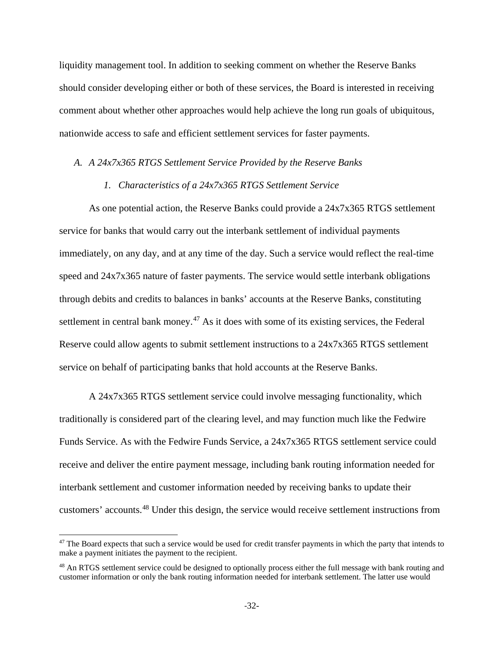liquidity management tool. In addition to seeking comment on whether the Reserve Banks should consider developing either or both of these services, the Board is interested in receiving comment about whether other approaches would help achieve the long run goals of ubiquitous, nationwide access to safe and efficient settlement services for faster payments.

#### *A. A 24x7x365 RTGS Settlement Service Provided by the Reserve Banks*

# *1. Characteristics of a 24x7x365 RTGS Settlement Service*

As one potential action, the Reserve Banks could provide a 24x7x365 RTGS settlement service for banks that would carry out the interbank settlement of individual payments immediately, on any day, and at any time of the day. Such a service would reflect the real-time speed and 24x7x365 nature of faster payments. The service would settle interbank obligations through debits and credits to balances in banks' accounts at the Reserve Banks, constituting settlement in central bank money. $47$  As it does with some of its existing services, the Federal Reserve could allow agents to submit settlement instructions to a 24x7x365 RTGS settlement service on behalf of participating banks that hold accounts at the Reserve Banks.

A 24x7x365 RTGS settlement service could involve messaging functionality, which traditionally is considered part of the clearing level, and may function much like the Fedwire Funds Service. As with the Fedwire Funds Service, a 24x7x365 RTGS settlement service could receive and deliver the entire payment message, including bank routing information needed for interbank settlement and customer information needed by receiving banks to update their customers' accounts.[48](#page-31-1) Under this design, the service would receive settlement instructions from

<span id="page-31-0"></span><sup>&</sup>lt;sup>47</sup> The Board expects that such a service would be used for credit transfer payments in which the party that intends to make a payment initiates the payment to the recipient.

<span id="page-31-1"></span><sup>&</sup>lt;sup>48</sup> An RTGS settlement service could be designed to optionally process either the full message with bank routing and customer information or only the bank routing information needed for interbank settlement. The latter use would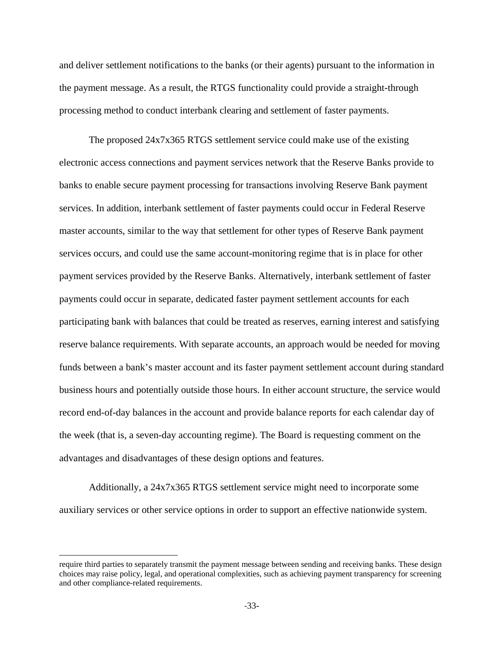and deliver settlement notifications to the banks (or their agents) pursuant to the information in the payment message. As a result, the RTGS functionality could provide a straight-through processing method to conduct interbank clearing and settlement of faster payments.

The proposed 24x7x365 RTGS settlement service could make use of the existing electronic access connections and payment services network that the Reserve Banks provide to banks to enable secure payment processing for transactions involving Reserve Bank payment services. In addition, interbank settlement of faster payments could occur in Federal Reserve master accounts, similar to the way that settlement for other types of Reserve Bank payment services occurs, and could use the same account-monitoring regime that is in place for other payment services provided by the Reserve Banks. Alternatively, interbank settlement of faster payments could occur in separate, dedicated faster payment settlement accounts for each participating bank with balances that could be treated as reserves, earning interest and satisfying reserve balance requirements. With separate accounts, an approach would be needed for moving funds between a bank's master account and its faster payment settlement account during standard business hours and potentially outside those hours. In either account structure, the service would record end-of-day balances in the account and provide balance reports for each calendar day of the week (that is, a seven-day accounting regime). The Board is requesting comment on the advantages and disadvantages of these design options and features.

Additionally, a 24x7x365 RTGS settlement service might need to incorporate some auxiliary services or other service options in order to support an effective nationwide system.

 $\overline{a}$ 

require third parties to separately transmit the payment message between sending and receiving banks. These design choices may raise policy, legal, and operational complexities, such as achieving payment transparency for screening and other compliance-related requirements.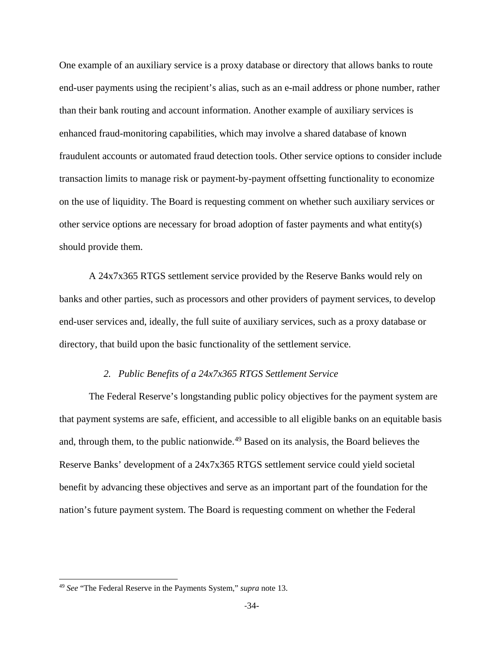One example of an auxiliary service is a proxy database or directory that allows banks to route end-user payments using the recipient's alias, such as an e-mail address or phone number, rather than their bank routing and account information. Another example of auxiliary services is enhanced fraud-monitoring capabilities, which may involve a shared database of known fraudulent accounts or automated fraud detection tools. Other service options to consider include transaction limits to manage risk or payment-by-payment offsetting functionality to economize on the use of liquidity. The Board is requesting comment on whether such auxiliary services or other service options are necessary for broad adoption of faster payments and what entity(s) should provide them.

A 24x7x365 RTGS settlement service provided by the Reserve Banks would rely on banks and other parties, such as processors and other providers of payment services, to develop end-user services and, ideally, the full suite of auxiliary services, such as a proxy database or directory, that build upon the basic functionality of the settlement service.

#### *2. Public Benefits of a 24x7x365 RTGS Settlement Service*

The Federal Reserve's longstanding public policy objectives for the payment system are that payment systems are safe, efficient, and accessible to all eligible banks on an equitable basis and, through them, to the public nationwide.<sup>[49](#page-33-0)</sup> Based on its analysis, the Board believes the Reserve Banks' development of a 24x7x365 RTGS settlement service could yield societal benefit by advancing these objectives and serve as an important part of the foundation for the nation's future payment system. The Board is requesting comment on whether the Federal

<span id="page-33-0"></span> <sup>49</sup> *See* "The Federal Reserve in the Payments System," *supra* note 13.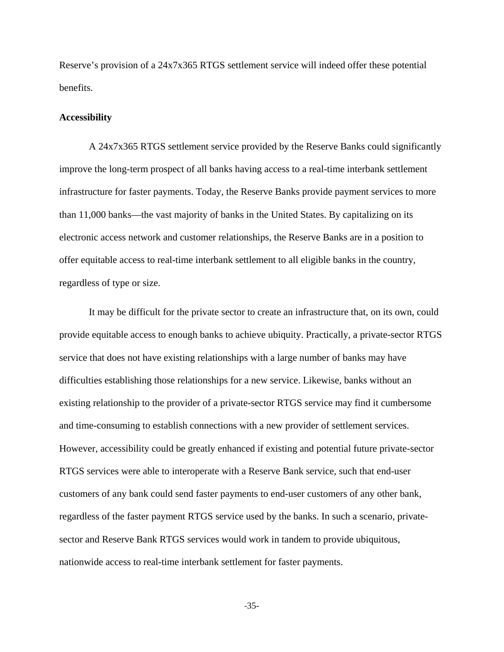Reserve's provision of a 24x7x365 RTGS settlement service will indeed offer these potential benefits.

#### **Accessibility**

A 24x7x365 RTGS settlement service provided by the Reserve Banks could significantly improve the long-term prospect of all banks having access to a real-time interbank settlement infrastructure for faster payments. Today, the Reserve Banks provide payment services to more than 11,000 banks—the vast majority of banks in the United States. By capitalizing on its electronic access network and customer relationships, the Reserve Banks are in a position to offer equitable access to real-time interbank settlement to all eligible banks in the country, regardless of type or size.

It may be difficult for the private sector to create an infrastructure that, on its own, could provide equitable access to enough banks to achieve ubiquity. Practically, a private-sector RTGS service that does not have existing relationships with a large number of banks may have difficulties establishing those relationships for a new service. Likewise, banks without an existing relationship to the provider of a private-sector RTGS service may find it cumbersome and time-consuming to establish connections with a new provider of settlement services. However, accessibility could be greatly enhanced if existing and potential future private-sector RTGS services were able to interoperate with a Reserve Bank service, such that end-user customers of any bank could send faster payments to end-user customers of any other bank, regardless of the faster payment RTGS service used by the banks. In such a scenario, privatesector and Reserve Bank RTGS services would work in tandem to provide ubiquitous, nationwide access to real-time interbank settlement for faster payments.

-35-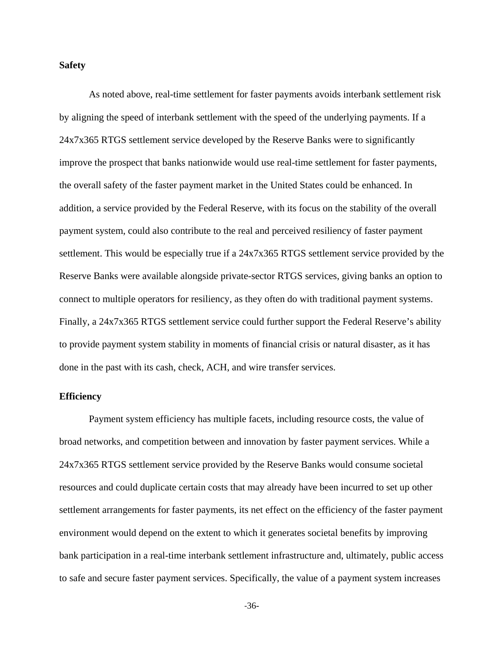#### **Safety**

As noted above, real-time settlement for faster payments avoids interbank settlement risk by aligning the speed of interbank settlement with the speed of the underlying payments. If a 24x7x365 RTGS settlement service developed by the Reserve Banks were to significantly improve the prospect that banks nationwide would use real-time settlement for faster payments, the overall safety of the faster payment market in the United States could be enhanced. In addition, a service provided by the Federal Reserve, with its focus on the stability of the overall payment system, could also contribute to the real and perceived resiliency of faster payment settlement. This would be especially true if a 24x7x365 RTGS settlement service provided by the Reserve Banks were available alongside private-sector RTGS services, giving banks an option to connect to multiple operators for resiliency, as they often do with traditional payment systems. Finally, a 24x7x365 RTGS settlement service could further support the Federal Reserve's ability to provide payment system stability in moments of financial crisis or natural disaster, as it has done in the past with its cash, check, ACH, and wire transfer services.

#### **Efficiency**

Payment system efficiency has multiple facets, including resource costs, the value of broad networks, and competition between and innovation by faster payment services. While a 24x7x365 RTGS settlement service provided by the Reserve Banks would consume societal resources and could duplicate certain costs that may already have been incurred to set up other settlement arrangements for faster payments, its net effect on the efficiency of the faster payment environment would depend on the extent to which it generates societal benefits by improving bank participation in a real-time interbank settlement infrastructure and, ultimately, public access to safe and secure faster payment services. Specifically, the value of a payment system increases

-36-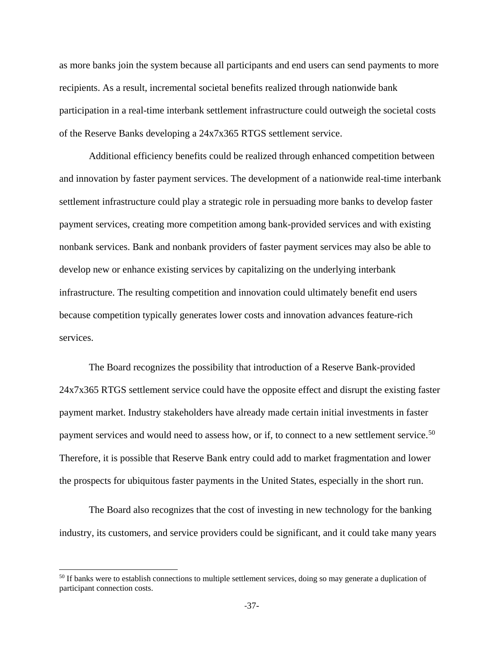as more banks join the system because all participants and end users can send payments to more recipients. As a result, incremental societal benefits realized through nationwide bank participation in a real-time interbank settlement infrastructure could outweigh the societal costs of the Reserve Banks developing a 24x7x365 RTGS settlement service.

Additional efficiency benefits could be realized through enhanced competition between and innovation by faster payment services. The development of a nationwide real-time interbank settlement infrastructure could play a strategic role in persuading more banks to develop faster payment services, creating more competition among bank-provided services and with existing nonbank services. Bank and nonbank providers of faster payment services may also be able to develop new or enhance existing services by capitalizing on the underlying interbank infrastructure. The resulting competition and innovation could ultimately benefit end users because competition typically generates lower costs and innovation advances feature-rich services.

The Board recognizes the possibility that introduction of a Reserve Bank-provided 24x7x365 RTGS settlement service could have the opposite effect and disrupt the existing faster payment market. Industry stakeholders have already made certain initial investments in faster payment services and would need to assess how, or if, to connect to a new settlement service.<sup>[50](#page-36-0)</sup> Therefore, it is possible that Reserve Bank entry could add to market fragmentation and lower the prospects for ubiquitous faster payments in the United States, especially in the short run.

The Board also recognizes that the cost of investing in new technology for the banking industry, its customers, and service providers could be significant, and it could take many years

<span id="page-36-0"></span><sup>&</sup>lt;sup>50</sup> If banks were to establish connections to multiple settlement services, doing so may generate a duplication of participant connection costs.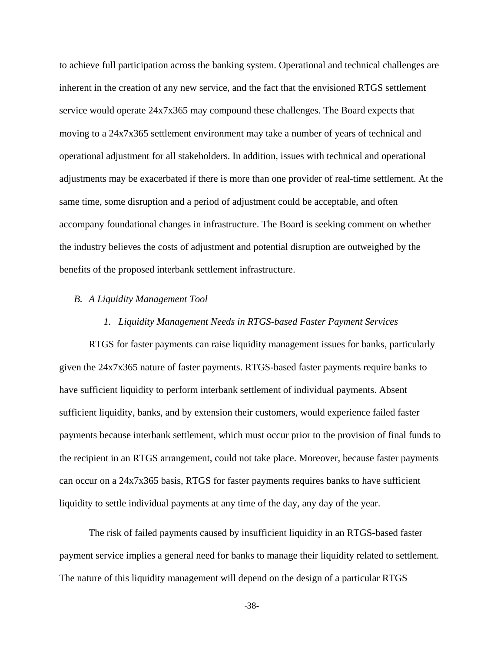to achieve full participation across the banking system. Operational and technical challenges are inherent in the creation of any new service, and the fact that the envisioned RTGS settlement service would operate 24x7x365 may compound these challenges. The Board expects that moving to a 24x7x365 settlement environment may take a number of years of technical and operational adjustment for all stakeholders. In addition, issues with technical and operational adjustments may be exacerbated if there is more than one provider of real-time settlement. At the same time, some disruption and a period of adjustment could be acceptable, and often accompany foundational changes in infrastructure. The Board is seeking comment on whether the industry believes the costs of adjustment and potential disruption are outweighed by the benefits of the proposed interbank settlement infrastructure.

### *B. A Liquidity Management Tool*

#### *1. Liquidity Management Needs in RTGS-based Faster Payment Services*

RTGS for faster payments can raise liquidity management issues for banks, particularly given the 24x7x365 nature of faster payments. RTGS-based faster payments require banks to have sufficient liquidity to perform interbank settlement of individual payments. Absent sufficient liquidity, banks, and by extension their customers, would experience failed faster payments because interbank settlement, which must occur prior to the provision of final funds to the recipient in an RTGS arrangement, could not take place. Moreover, because faster payments can occur on a 24x7x365 basis, RTGS for faster payments requires banks to have sufficient liquidity to settle individual payments at any time of the day, any day of the year.

The risk of failed payments caused by insufficient liquidity in an RTGS-based faster payment service implies a general need for banks to manage their liquidity related to settlement. The nature of this liquidity management will depend on the design of a particular RTGS

-38-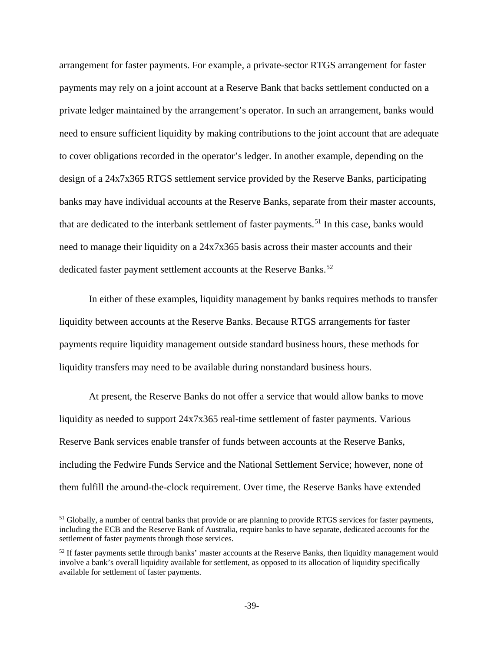arrangement for faster payments. For example, a private-sector RTGS arrangement for faster payments may rely on a joint account at a Reserve Bank that backs settlement conducted on a private ledger maintained by the arrangement's operator. In such an arrangement, banks would need to ensure sufficient liquidity by making contributions to the joint account that are adequate to cover obligations recorded in the operator's ledger. In another example, depending on the design of a 24x7x365 RTGS settlement service provided by the Reserve Banks, participating banks may have individual accounts at the Reserve Banks, separate from their master accounts, that are dedicated to the interbank settlement of faster payments.<sup>[51](#page-38-0)</sup> In this case, banks would need to manage their liquidity on a 24x7x365 basis across their master accounts and their dedicated faster payment settlement accounts at the Reserve Banks.<sup>[52](#page-38-1)</sup>

In either of these examples, liquidity management by banks requires methods to transfer liquidity between accounts at the Reserve Banks. Because RTGS arrangements for faster payments require liquidity management outside standard business hours, these methods for liquidity transfers may need to be available during nonstandard business hours.

At present, the Reserve Banks do not offer a service that would allow banks to move liquidity as needed to support 24x7x365 real-time settlement of faster payments. Various Reserve Bank services enable transfer of funds between accounts at the Reserve Banks, including the Fedwire Funds Service and the National Settlement Service; however, none of them fulfill the around-the-clock requirement. Over time, the Reserve Banks have extended

<span id="page-38-0"></span><sup>&</sup>lt;sup>51</sup> Globally, a number of central banks that provide or are planning to provide RTGS services for faster payments, including the ECB and the Reserve Bank of Australia, require banks to have separate, dedicated accounts for the settlement of faster payments through those services.

<span id="page-38-1"></span><sup>&</sup>lt;sup>52</sup> If faster payments settle through banks' master accounts at the Reserve Banks, then liquidity management would involve a bank's overall liquidity available for settlement, as opposed to its allocation of liquidity specifically available for settlement of faster payments.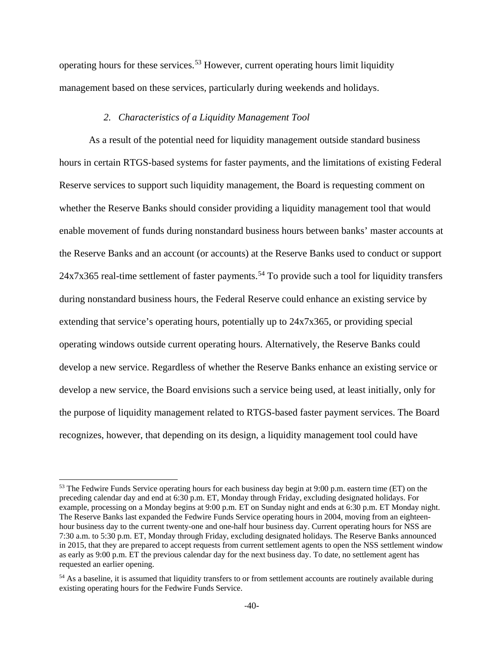operating hours for these services.[53](#page-39-0) However, current operating hours limit liquidity management based on these services, particularly during weekends and holidays.

## *2. Characteristics of a Liquidity Management Tool*

As a result of the potential need for liquidity management outside standard business hours in certain RTGS-based systems for faster payments, and the limitations of existing Federal Reserve services to support such liquidity management, the Board is requesting comment on whether the Reserve Banks should consider providing a liquidity management tool that would enable movement of funds during nonstandard business hours between banks' master accounts at the Reserve Banks and an account (or accounts) at the Reserve Banks used to conduct or support  $24x7x365$  real-time settlement of faster payments.<sup>[54](#page-39-1)</sup> To provide such a tool for liquidity transfers during nonstandard business hours, the Federal Reserve could enhance an existing service by extending that service's operating hours, potentially up to 24x7x365, or providing special operating windows outside current operating hours. Alternatively, the Reserve Banks could develop a new service. Regardless of whether the Reserve Banks enhance an existing service or develop a new service, the Board envisions such a service being used, at least initially, only for the purpose of liquidity management related to RTGS-based faster payment services. The Board recognizes, however, that depending on its design, a liquidity management tool could have

<span id="page-39-0"></span><sup>&</sup>lt;sup>53</sup> The Fedwire Funds Service operating hours for each business day begin at 9:00 p.m. eastern time (ET) on the preceding calendar day and end at 6:30 p.m. ET, Monday through Friday, excluding designated holidays. For example, processing on a Monday begins at 9:00 p.m. ET on Sunday night and ends at 6:30 p.m. ET Monday night. The Reserve Banks last expanded the Fedwire Funds Service operating hours in 2004, moving from an eighteenhour business day to the current twenty-one and one-half hour business day. Current operating hours for NSS are 7:30 a.m. to 5:30 p.m. ET, Monday through Friday, excluding designated holidays. The Reserve Banks announced in 2015, that they are prepared to accept requests from current settlement agents to open the NSS settlement window as early as 9:00 p.m. ET the previous calendar day for the next business day. To date, no settlement agent has requested an earlier opening.

<span id="page-39-1"></span><sup>&</sup>lt;sup>54</sup> As a baseline, it is assumed that liquidity transfers to or from settlement accounts are routinely available during existing operating hours for the Fedwire Funds Service.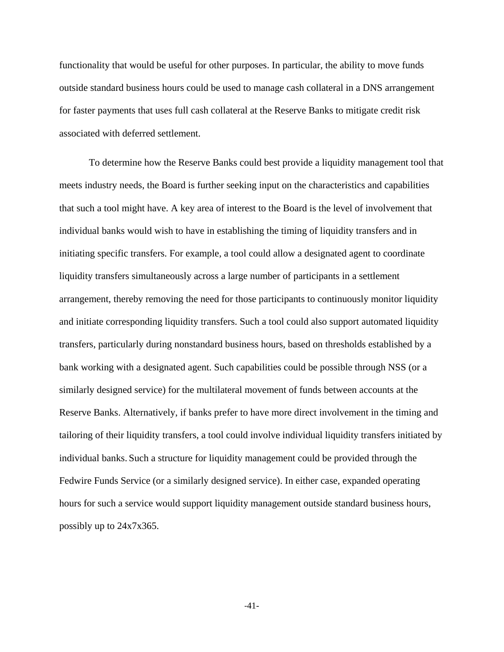functionality that would be useful for other purposes. In particular, the ability to move funds outside standard business hours could be used to manage cash collateral in a DNS arrangement for faster payments that uses full cash collateral at the Reserve Banks to mitigate credit risk associated with deferred settlement.

To determine how the Reserve Banks could best provide a liquidity management tool that meets industry needs, the Board is further seeking input on the characteristics and capabilities that such a tool might have. A key area of interest to the Board is the level of involvement that individual banks would wish to have in establishing the timing of liquidity transfers and in initiating specific transfers. For example, a tool could allow a designated agent to coordinate liquidity transfers simultaneously across a large number of participants in a settlement arrangement, thereby removing the need for those participants to continuously monitor liquidity and initiate corresponding liquidity transfers. Such a tool could also support automated liquidity transfers, particularly during nonstandard business hours, based on thresholds established by a bank working with a designated agent. Such capabilities could be possible through NSS (or a similarly designed service) for the multilateral movement of funds between accounts at the Reserve Banks. Alternatively, if banks prefer to have more direct involvement in the timing and tailoring of their liquidity transfers, a tool could involve individual liquidity transfers initiated by individual banks. Such a structure for liquidity management could be provided through the Fedwire Funds Service (or a similarly designed service). In either case, expanded operating hours for such a service would support liquidity management outside standard business hours, possibly up to 24x7x365.

-41-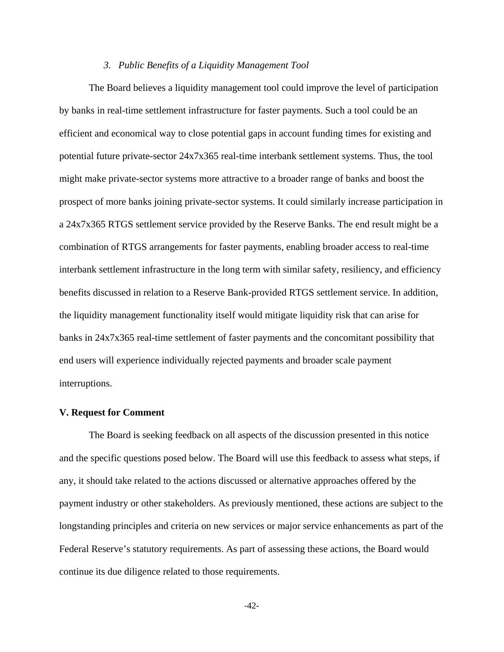#### *3. Public Benefits of a Liquidity Management Tool*

The Board believes a liquidity management tool could improve the level of participation by banks in real-time settlement infrastructure for faster payments. Such a tool could be an efficient and economical way to close potential gaps in account funding times for existing and potential future private-sector 24x7x365 real-time interbank settlement systems. Thus, the tool might make private-sector systems more attractive to a broader range of banks and boost the prospect of more banks joining private-sector systems. It could similarly increase participation in a 24x7x365 RTGS settlement service provided by the Reserve Banks. The end result might be a combination of RTGS arrangements for faster payments, enabling broader access to real-time interbank settlement infrastructure in the long term with similar safety, resiliency, and efficiency benefits discussed in relation to a Reserve Bank-provided RTGS settlement service. In addition, the liquidity management functionality itself would mitigate liquidity risk that can arise for banks in 24x7x365 real-time settlement of faster payments and the concomitant possibility that end users will experience individually rejected payments and broader scale payment interruptions.

#### **V. Request for Comment**

The Board is seeking feedback on all aspects of the discussion presented in this notice and the specific questions posed below. The Board will use this feedback to assess what steps, if any, it should take related to the actions discussed or alternative approaches offered by the payment industry or other stakeholders. As previously mentioned, these actions are subject to the longstanding principles and criteria on new services or major service enhancements as part of the Federal Reserve's statutory requirements. As part of assessing these actions, the Board would continue its due diligence related to those requirements.

-42-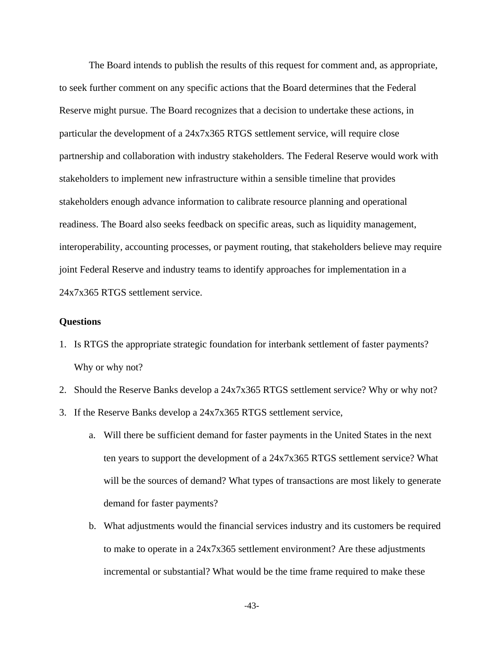The Board intends to publish the results of this request for comment and, as appropriate, to seek further comment on any specific actions that the Board determines that the Federal Reserve might pursue. The Board recognizes that a decision to undertake these actions, in particular the development of a 24x7x365 RTGS settlement service, will require close partnership and collaboration with industry stakeholders. The Federal Reserve would work with stakeholders to implement new infrastructure within a sensible timeline that provides stakeholders enough advance information to calibrate resource planning and operational readiness. The Board also seeks feedback on specific areas, such as liquidity management, interoperability, accounting processes, or payment routing, that stakeholders believe may require joint Federal Reserve and industry teams to identify approaches for implementation in a 24x7x365 RTGS settlement service.

## **Questions**

- 1. Is RTGS the appropriate strategic foundation for interbank settlement of faster payments? Why or why not?
- 2. Should the Reserve Banks develop a 24x7x365 RTGS settlement service? Why or why not?
- 3. If the Reserve Banks develop a 24x7x365 RTGS settlement service,
	- a. Will there be sufficient demand for faster payments in the United States in the next ten years to support the development of a 24x7x365 RTGS settlement service? What will be the sources of demand? What types of transactions are most likely to generate demand for faster payments?
	- b. What adjustments would the financial services industry and its customers be required to make to operate in a 24x7x365 settlement environment? Are these adjustments incremental or substantial? What would be the time frame required to make these

-43-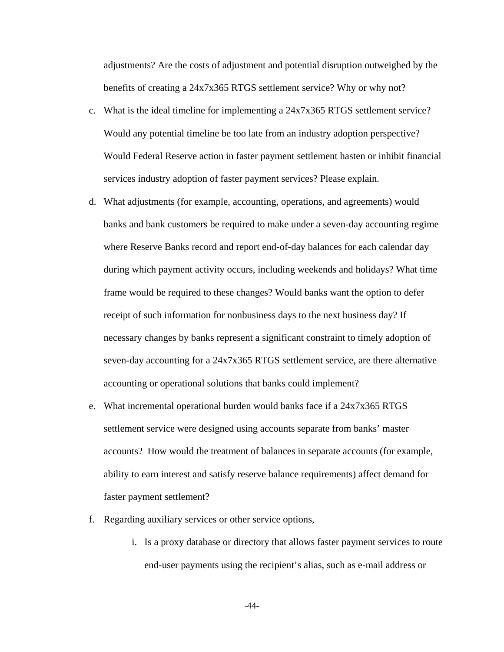adjustments? Are the costs of adjustment and potential disruption outweighed by the benefits of creating a 24x7x365 RTGS settlement service? Why or why not?

- c. What is the ideal timeline for implementing a 24x7x365 RTGS settlement service? Would any potential timeline be too late from an industry adoption perspective? Would Federal Reserve action in faster payment settlement hasten or inhibit financial services industry adoption of faster payment services? Please explain.
- d. What adjustments (for example, accounting, operations, and agreements) would banks and bank customers be required to make under a seven-day accounting regime where Reserve Banks record and report end-of-day balances for each calendar day during which payment activity occurs, including weekends and holidays? What time frame would be required to these changes? Would banks want the option to defer receipt of such information for nonbusiness days to the next business day? If necessary changes by banks represent a significant constraint to timely adoption of seven-day accounting for a 24x7x365 RTGS settlement service, are there alternative accounting or operational solutions that banks could implement?
- e. What incremental operational burden would banks face if a 24x7x365 RTGS settlement service were designed using accounts separate from banks' master accounts? How would the treatment of balances in separate accounts (for example, ability to earn interest and satisfy reserve balance requirements) affect demand for faster payment settlement?
- f. Regarding auxiliary services or other service options,
	- i. Is a proxy database or directory that allows faster payment services to route end-user payments using the recipient's alias, such as e-mail address or

-44-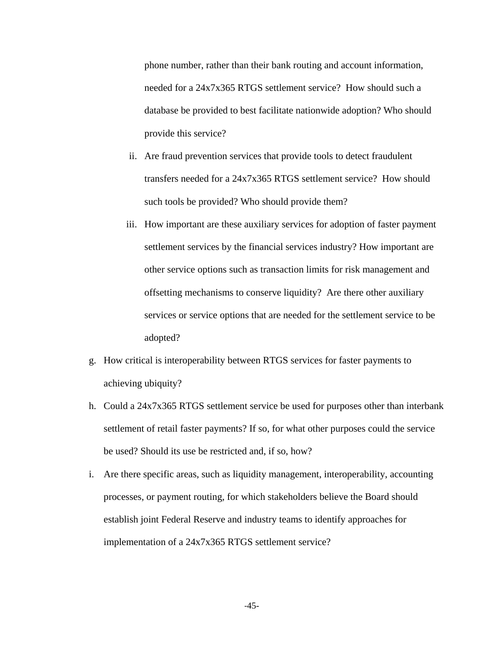phone number, rather than their bank routing and account information, needed for a 24x7x365 RTGS settlement service? How should such a database be provided to best facilitate nationwide adoption? Who should provide this service?

- ii. Are fraud prevention services that provide tools to detect fraudulent transfers needed for a 24x7x365 RTGS settlement service? How should such tools be provided? Who should provide them?
- iii. How important are these auxiliary services for adoption of faster payment settlement services by the financial services industry? How important are other service options such as transaction limits for risk management and offsetting mechanisms to conserve liquidity? Are there other auxiliary services or service options that are needed for the settlement service to be adopted?
- g. How critical is interoperability between RTGS services for faster payments to achieving ubiquity?
- h. Could a 24x7x365 RTGS settlement service be used for purposes other than interbank settlement of retail faster payments? If so, for what other purposes could the service be used? Should its use be restricted and, if so, how?
- i. Are there specific areas, such as liquidity management, interoperability, accounting processes, or payment routing, for which stakeholders believe the Board should establish joint Federal Reserve and industry teams to identify approaches for implementation of a 24x7x365 RTGS settlement service?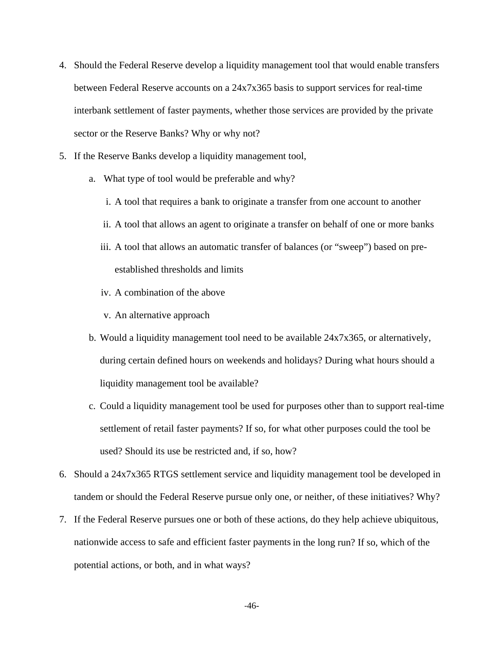- 4. Should the Federal Reserve develop a liquidity management tool that would enable transfers between Federal Reserve accounts on a 24x7x365 basis to support services for real-time interbank settlement of faster payments, whether those services are provided by the private sector or the Reserve Banks? Why or why not?
- 5. If the Reserve Banks develop a liquidity management tool,
	- a. What type of tool would be preferable and why?
		- i. A tool that requires a bank to originate a transfer from one account to another
		- ii. A tool that allows an agent to originate a transfer on behalf of one or more banks
		- iii. A tool that allows an automatic transfer of balances (or "sweep") based on preestablished thresholds and limits
		- iv. A combination of the above
		- v. An alternative approach
	- b. Would a liquidity management tool need to be available 24x7x365, or alternatively, during certain defined hours on weekends and holidays? During what hours should a liquidity management tool be available?
	- c. Could a liquidity management tool be used for purposes other than to support real-time settlement of retail faster payments? If so, for what other purposes could the tool be used? Should its use be restricted and, if so, how?
- 6. Should a 24x7x365 RTGS settlement service and liquidity management tool be developed in tandem or should the Federal Reserve pursue only one, or neither, of these initiatives? Why?
- 7. If the Federal Reserve pursues one or both of these actions, do they help achieve ubiquitous, nationwide access to safe and efficient faster payments in the long run? If so, which of the potential actions, or both, and in what ways?